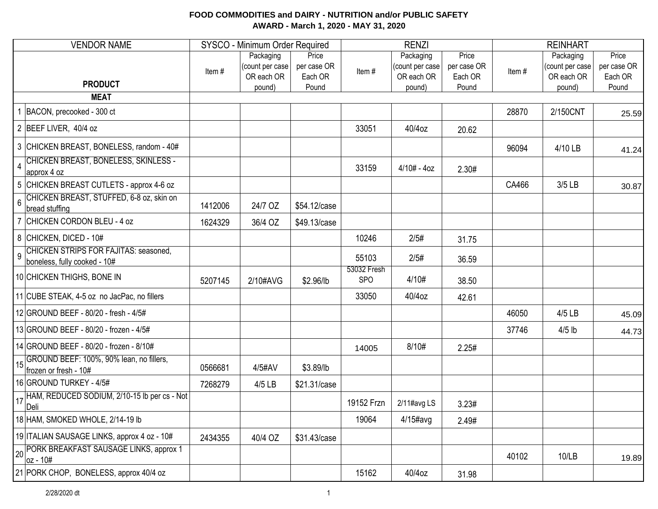| <b>VENDOR NAME</b>                                                      |         | SYSCO - Minimum Order Required              |                                 |                           | <b>RENZI</b>                               |                                 | <b>REINHART</b> |                                            |                                 |  |
|-------------------------------------------------------------------------|---------|---------------------------------------------|---------------------------------|---------------------------|--------------------------------------------|---------------------------------|-----------------|--------------------------------------------|---------------------------------|--|
| <b>PRODUCT</b>                                                          | Item#   | Packaging<br>(count per case)<br>OR each OR | Price<br>per case OR<br>Each OR | Item#                     | Packaging<br>(count per case<br>OR each OR | Price<br>per case OR<br>Each OR | Item#           | Packaging<br>(count per case<br>OR each OR | Price<br>per case OR<br>Each OR |  |
| <b>MEAT</b>                                                             |         | pound)                                      | Pound                           |                           | pound)                                     | Pound                           |                 | pound)                                     | Pound                           |  |
| BACON, precooked - 300 ct                                               |         |                                             |                                 |                           |                                            |                                 | 28870           | 2/150CNT                                   |                                 |  |
|                                                                         |         |                                             |                                 |                           |                                            |                                 |                 |                                            | 25.59                           |  |
| 2 BEEF LIVER, 40/4 oz                                                   |         |                                             |                                 | 33051                     | 40/4oz                                     | 20.62                           |                 |                                            |                                 |  |
| 3 CHICKEN BREAST, BONELESS, random - 40#                                |         |                                             |                                 |                           |                                            |                                 | 96094           | 4/10 LB                                    | 41.24                           |  |
| CHICKEN BREAST, BONELESS, SKINLESS -<br>approx 4 oz                     |         |                                             |                                 | 33159                     | $4/10# - 4oz$                              | 2.30#                           |                 |                                            |                                 |  |
| 5 CHICKEN BREAST CUTLETS - approx 4-6 oz                                |         |                                             |                                 |                           |                                            |                                 | CA466           | 3/5 LB                                     | 30.87                           |  |
| 6 CHICKEN BREAST, STUFFED, 6-8 oz, skin on<br>bread stuffing            | 1412006 | 24/7 OZ                                     | \$54.12/case                    |                           |                                            |                                 |                 |                                            |                                 |  |
| 7 CHICKEN CORDON BLEU - 4 oz                                            | 1624329 | 36/4 OZ                                     | \$49.13/case                    |                           |                                            |                                 |                 |                                            |                                 |  |
| $8$ CHICKEN, DICED - 10#                                                |         |                                             |                                 | 10246                     | 2/5#                                       | 31.75                           |                 |                                            |                                 |  |
| G CHICKEN STRIPS FOR FAJITAS: seasoned,<br>boneless, fully cooked - 10# |         |                                             |                                 | 55103                     | 2/5#                                       | 36.59                           |                 |                                            |                                 |  |
| 10 CHICKEN THIGHS, BONE IN                                              | 5207145 | 2/10#AVG                                    | \$2.96/lb                       | 53032 Fresh<br><b>SPO</b> | 4/10#                                      | 38.50                           |                 |                                            |                                 |  |
| 11 CUBE STEAK, 4-5 oz no JacPac, no fillers                             |         |                                             |                                 | 33050                     | 40/4oz                                     | 42.61                           |                 |                                            |                                 |  |
| 12 GROUND BEEF - 80/20 - fresh - 4/5#                                   |         |                                             |                                 |                           |                                            |                                 | 46050           | $4/5$ LB                                   | 45.09                           |  |
| 13 GROUND BEEF - 80/20 - frozen - 4/5#                                  |         |                                             |                                 |                           |                                            |                                 | 37746           | $4/5$ lb                                   | 44.73                           |  |
| 14 GROUND BEEF - 80/20 - frozen - 8/10#                                 |         |                                             |                                 | 14005                     | 8/10#                                      | 2.25#                           |                 |                                            |                                 |  |
| 15 GROUND BEEF: 100%, 90% lean, no fillers,<br>frozen or fresh - 10#    | 0566681 | 4/5#AV                                      | \$3.89/lb                       |                           |                                            |                                 |                 |                                            |                                 |  |
| 16 GROUND TURKEY - 4/5#                                                 | 7268279 | 4/5 LB                                      | \$21.31/case                    |                           |                                            |                                 |                 |                                            |                                 |  |
| 17 HAM, REDUCED SODIUM, 2/10-15 lb per cs - Not                         |         |                                             |                                 | 19152 Frzn                | 2/11#avg LS                                | 3.23#                           |                 |                                            |                                 |  |
| 18 HAM, SMOKED WHOLE, 2/14-19 lb                                        |         |                                             |                                 | 19064                     | $4/15$ #avg                                | 2.49#                           |                 |                                            |                                 |  |
| 19 ITALIAN SAUSAGE LINKS, approx 4 oz - 10#                             | 2434355 | 40/4 OZ                                     | \$31.43/case                    |                           |                                            |                                 |                 |                                            |                                 |  |
| 20 PORK BREAKFAST SAUSAGE LINKS, approx 1<br>$\frac{1}{2}$ oz - 10#     |         |                                             |                                 |                           |                                            |                                 | 40102           | 10/LB                                      | 19.89                           |  |
| 21 PORK CHOP, BONELESS, approx 40/4 oz                                  |         |                                             |                                 | 15162                     | 40/4oz                                     | 31.98                           |                 |                                            |                                 |  |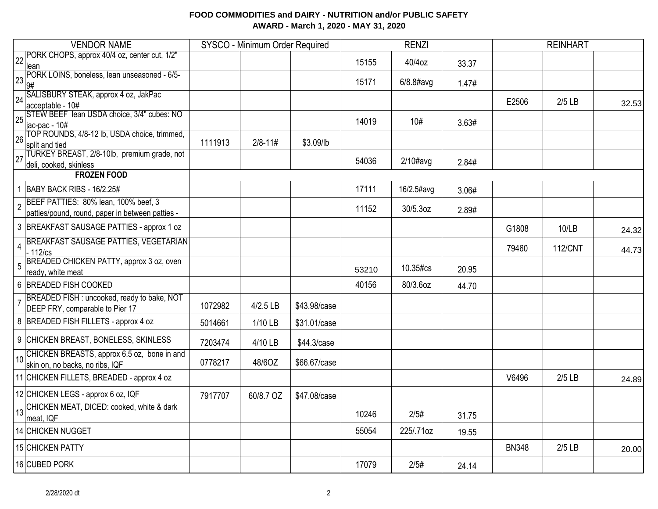| <b>VENDOR NAME</b>                                                                                         |         | SYSCO - Minimum Order Required |              |       | <b>RENZI</b> |       |              | <b>REINHART</b> |       |
|------------------------------------------------------------------------------------------------------------|---------|--------------------------------|--------------|-------|--------------|-------|--------------|-----------------|-------|
| 22 PORK CHOPS, approx 40/4 oz, center cut, 1/2"<br>llean                                                   |         |                                |              | 15155 | 40/4oz       | 33.37 |              |                 |       |
| PORK LOINS, boneless, lean unseasoned - 6/5-<br>23<br>9#                                                   |         |                                |              | 15171 | $6/8.8$ #avg | 1.47# |              |                 |       |
| 24 SALISBURY STEAK, approx 4 oz, JakPac<br>acceptable - 10#                                                |         |                                |              |       |              |       | E2506        | $2/5$ LB        | 32.53 |
| 25 STEW BEEF lean USDA choice, 3/4" cubes: NO<br>jac-pac - 10#                                             |         |                                |              | 14019 | 10#          | 3.63# |              |                 |       |
| 26 TOP ROUNDS, 4/8-12 lb, USDA choice, trimmed,<br>split and tied                                          | 1111913 | $2/8 - 11#$                    | \$3.09/lb    |       |              |       |              |                 |       |
| TURKEY BREAST, 2/8-10lb, premium grade, not<br>27<br>deli, cooked, skinless                                |         |                                |              | 54036 | $2/10\#avg$  | 2.84# |              |                 |       |
| <b>FROZEN FOOD</b>                                                                                         |         |                                |              |       |              |       |              |                 |       |
| BABY BACK RIBS - 16/2.25#                                                                                  |         |                                |              | 17111 | 16/2.5#avg   | 3.06# |              |                 |       |
| BEEF PATTIES: 80% lean, 100% beef, 3<br>$\overline{2}$<br>patties/pound, round, paper in between patties - |         |                                |              | 11152 | 30/5.3oz     | 2.89# |              |                 |       |
| 3 BREAKFAST SAUSAGE PATTIES - approx 1 oz                                                                  |         |                                |              |       |              |       | G1808        | 10/LB           | 24.32 |
| <b>BREAKFAST SAUSAGE PATTIES, VEGETARIAN</b><br>$\overline{4}$<br>$-112$ /cs                               |         |                                |              |       |              |       | 79460        | <b>112/CNT</b>  | 44.73 |
| BREADED CHICKEN PATTY, approx 3 oz, oven<br>5<br>ready, white meat                                         |         |                                |              | 53210 | 10.35#cs     | 20.95 |              |                 |       |
| 6 BREADED FISH COOKED                                                                                      |         |                                |              | 40156 | 80/3.6oz     | 44.70 |              |                 |       |
| BREADED FISH : uncooked, ready to bake, NOT<br>$\overline{7}$<br>DEEP FRY, comparable to Pier 17           | 1072982 | 4/2.5 LB                       | \$43.98/case |       |              |       |              |                 |       |
| 8 BREADED FISH FILLETS - approx 4 oz                                                                       | 5014661 | 1/10 LB                        | \$31.01/case |       |              |       |              |                 |       |
| 9 CHICKEN BREAST, BONELESS, SKINLESS                                                                       | 7203474 | 4/10 LB                        | \$44.3/case  |       |              |       |              |                 |       |
| 10 CHICKEN BREASTS, approx 6.5 oz, bone in and<br>skin on, no backs, no ribs, IQF                          | 0778217 | 48/6OZ                         | \$66.67/case |       |              |       |              |                 |       |
| 11 CHICKEN FILLETS, BREADED - approx 4 oz                                                                  |         |                                |              |       |              |       | V6496        | $2/5$ LB        | 24.89 |
| 12 CHICKEN LEGS - approx 6 oz, IQF                                                                         | 7917707 | 60/8.7 OZ                      | \$47.08/case |       |              |       |              |                 |       |
| 13 CHICKEN MEAT, DICED: cooked, white & dark<br>meat, IQF                                                  |         |                                |              | 10246 | 2/5#         | 31.75 |              |                 |       |
| 14 CHICKEN NUGGET                                                                                          |         |                                |              | 55054 | 225/.71oz    | 19.55 |              |                 |       |
| 15 CHICKEN PATTY                                                                                           |         |                                |              |       |              |       | <b>BN348</b> | $2/5$ LB        | 20.00 |
| 16 CUBED PORK                                                                                              |         |                                |              | 17079 | 2/5#         | 24.14 |              |                 |       |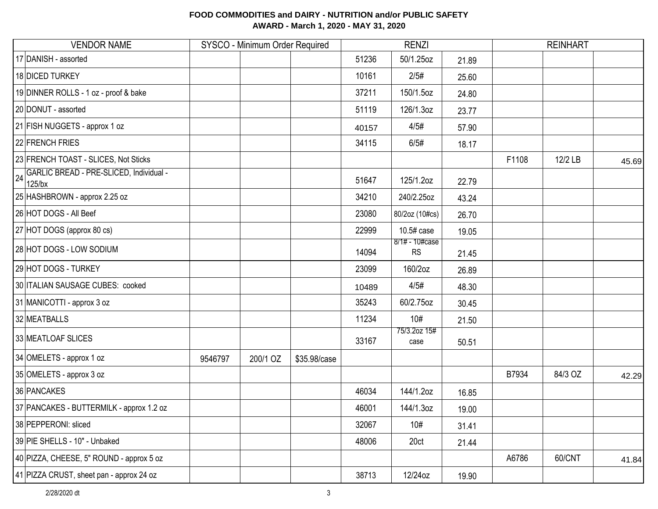| <b>VENDOR NAME</b>                                         |         | SYSCO - Minimum Order Required |              |       | <b>RENZI</b>                |       |       | <b>REINHART</b> |       |
|------------------------------------------------------------|---------|--------------------------------|--------------|-------|-----------------------------|-------|-------|-----------------|-------|
| 17 DANISH - assorted                                       |         |                                |              | 51236 | 50/1.25oz                   | 21.89 |       |                 |       |
| 18 DICED TURKEY                                            |         |                                |              | 10161 | 2/5#                        | 25.60 |       |                 |       |
| 19 DINNER ROLLS - 1 oz - proof & bake                      |         |                                |              | 37211 | 150/1.5oz                   | 24.80 |       |                 |       |
| 20 DONUT - assorted                                        |         |                                |              | 51119 | 126/1.3oz                   | 23.77 |       |                 |       |
| 21 FISH NUGGETS - approx 1 oz                              |         |                                |              | 40157 | 4/5#                        | 57.90 |       |                 |       |
| 22 FRENCH FRIES                                            |         |                                |              | 34115 | 6/5#                        | 18.17 |       |                 |       |
| 23 FRENCH TOAST - SLICES, Not Sticks                       |         |                                |              |       |                             |       | F1108 | 12/2 LB         | 45.69 |
| GARLIC BREAD - PRE-SLICED, Individual -<br>24<br>$125$ /bx |         |                                |              | 51647 | 125/1.2oz                   | 22.79 |       |                 |       |
| 25 HASHBROWN - approx 2.25 oz                              |         |                                |              | 34210 | 240/2.25oz                  | 43.24 |       |                 |       |
| 26 HOT DOGS - All Beef                                     |         |                                |              | 23080 | 80/2oz (10#cs)              | 26.70 |       |                 |       |
| 27 HOT DOGS (approx 80 cs)                                 |         |                                |              | 22999 | 10.5# case                  | 19.05 |       |                 |       |
| 28 HOT DOGS - LOW SODIUM                                   |         |                                |              | 14094 | 8/1# - 10#case<br><b>RS</b> | 21.45 |       |                 |       |
| 29 HOT DOGS - TURKEY                                       |         |                                |              | 23099 | 160/2oz                     | 26.89 |       |                 |       |
| 30 ITALIAN SAUSAGE CUBES: cooked                           |         |                                |              | 10489 | 4/5#                        | 48.30 |       |                 |       |
| 31 MANICOTTI - approx 3 oz                                 |         |                                |              | 35243 | 60/2.75oz                   | 30.45 |       |                 |       |
| 32 MEATBALLS                                               |         |                                |              | 11234 | 10#                         | 21.50 |       |                 |       |
| 33 MEATLOAF SLICES                                         |         |                                |              | 33167 | 75/3.2oz 15#<br>case        | 50.51 |       |                 |       |
| 34 OMELETS - approx 1 oz                                   | 9546797 | 200/1 OZ                       | \$35.98/case |       |                             |       |       |                 |       |
| 35 OMELETS - approx 3 oz                                   |         |                                |              |       |                             |       | B7934 | 84/3 OZ         | 42.29 |
| 36 PANCAKES                                                |         |                                |              | 46034 | 144/1.2oz                   | 16.85 |       |                 |       |
| 37 PANCAKES - BUTTERMILK - approx 1.2 oz                   |         |                                |              | 46001 | 144/1.3oz                   | 19.00 |       |                 |       |
| 38 PEPPERONI: sliced                                       |         |                                |              | 32067 | 10#                         | 31.41 |       |                 |       |
| 39 PIE SHELLS - 10" - Unbaked                              |         |                                |              | 48006 | 20ct                        | 21.44 |       |                 |       |
| 40 PIZZA, CHEESE, 5" ROUND - approx 5 oz                   |         |                                |              |       |                             |       | A6786 | 60/CNT          | 41.84 |
| 41 PIZZA CRUST, sheet pan - approx 24 oz                   |         |                                |              | 38713 | 12/24oz                     | 19.90 |       |                 |       |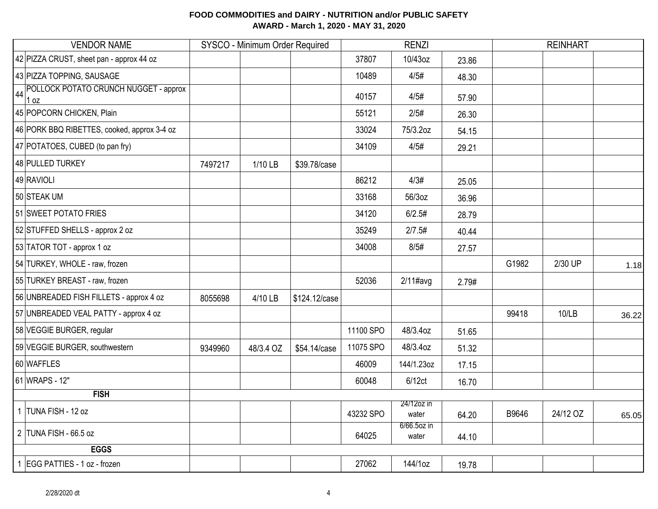| <b>VENDOR NAME</b>                                  |         | SYSCO - Minimum Order Required |               |           | <b>RENZI</b>            |       | <b>REINHART</b> |          |       |
|-----------------------------------------------------|---------|--------------------------------|---------------|-----------|-------------------------|-------|-----------------|----------|-------|
| 42 PIZZA CRUST, sheet pan - approx 44 oz            |         |                                |               | 37807     | 10/43oz                 | 23.86 |                 |          |       |
| 43 PIZZA TOPPING, SAUSAGE                           |         |                                |               | 10489     | 4/5#                    | 48.30 |                 |          |       |
| POLLOCK POTATO CRUNCH NUGGET - approx<br>44<br>1 oz |         |                                |               | 40157     | 4/5#                    | 57.90 |                 |          |       |
| 45 POPCORN CHICKEN, Plain                           |         |                                |               | 55121     | 2/5#                    | 26.30 |                 |          |       |
| 46 PORK BBQ RIBETTES, cooked, approx 3-4 oz         |         |                                |               | 33024     | 75/3.2oz                | 54.15 |                 |          |       |
| 47 POTATOES, CUBED (to pan fry)                     |         |                                |               | 34109     | 4/5#                    | 29.21 |                 |          |       |
| 48 PULLED TURKEY                                    | 7497217 | 1/10 LB                        | \$39.78/case  |           |                         |       |                 |          |       |
| 49 RAVIOLI                                          |         |                                |               | 86212     | 4/3#                    | 25.05 |                 |          |       |
| 50 STEAK UM                                         |         |                                |               | 33168     | 56/3oz                  | 36.96 |                 |          |       |
| 51 SWEET POTATO FRIES                               |         |                                |               | 34120     | 6/2.5#                  | 28.79 |                 |          |       |
| 52 STUFFED SHELLS - approx 2 oz                     |         |                                |               | 35249     | 2/7.5#                  | 40.44 |                 |          |       |
| 53 TATOR TOT - approx 1 oz                          |         |                                |               | 34008     | 8/5#                    | 27.57 |                 |          |       |
| 54 TURKEY, WHOLE - raw, frozen                      |         |                                |               |           |                         |       | G1982           | 2/30 UP  | 1.18  |
| 55 TURKEY BREAST - raw, frozen                      |         |                                |               | 52036     | $2/11$ #avg             | 2.79# |                 |          |       |
| 56 UNBREADED FISH FILLETS - approx 4 oz             | 8055698 | 4/10 LB                        | \$124.12/case |           |                         |       |                 |          |       |
| 57 UNBREADED VEAL PATTY - approx 4 oz               |         |                                |               |           |                         |       | 99418           | 10/LB    | 36.22 |
| 58 VEGGIE BURGER, regular                           |         |                                |               | 11100 SPO | 48/3.4oz                | 51.65 |                 |          |       |
| 59 VEGGIE BURGER, southwestern                      | 9349960 | 48/3.4 OZ                      | \$54.14/case  | 11075 SPO | 48/3.4oz                | 51.32 |                 |          |       |
| 60 WAFFLES                                          |         |                                |               | 46009     | 144/1.23oz              | 17.15 |                 |          |       |
| 61 WRAPS - 12"                                      |         |                                |               | 60048     | 6/12ct                  | 16.70 |                 |          |       |
| <b>FISH</b>                                         |         |                                |               |           |                         |       |                 |          |       |
| 1 TUNA FISH - 12 oz                                 |         |                                |               | 43232 SPO | 24/12oz in<br>water     | 64.20 | B9646           | 24/12 OZ | 65.05 |
| 2 TUNA FISH - 66.5 oz                               |         |                                |               | 64025     | $6/66.5$ oz in<br>water | 44.10 |                 |          |       |
| <b>EGGS</b>                                         |         |                                |               |           |                         |       |                 |          |       |
| 1 EGG PATTIES - 1 oz - frozen                       |         |                                |               | 27062     | 144/1oz                 | 19.78 |                 |          |       |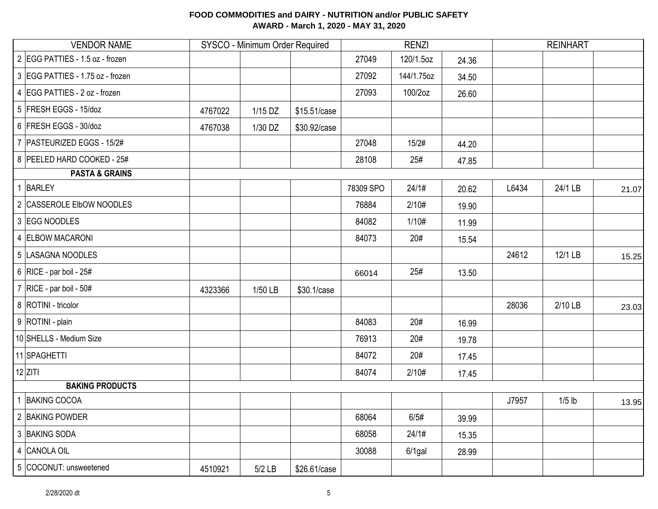| <b>VENDOR NAME</b>               |         | SYSCO - Minimum Order Required |              |           | <b>RENZI</b> |       |       | <b>REINHART</b> |       |
|----------------------------------|---------|--------------------------------|--------------|-----------|--------------|-------|-------|-----------------|-------|
| 2 EGG PATTIES - 1.5 oz - frozen  |         |                                |              | 27049     | 120/1.5oz    | 24.36 |       |                 |       |
| 3 EGG PATTIES - 1.75 oz - frozen |         |                                |              | 27092     | 144/1.75oz   | 34.50 |       |                 |       |
| 4 EGG PATTIES - 2 oz - frozen    |         |                                |              | 27093     | 100/2oz      | 26.60 |       |                 |       |
| 5 FRESH EGGS - 15/doz            | 4767022 | 1/15 DZ                        | \$15.51/case |           |              |       |       |                 |       |
| 6 FRESH EGGS - 30/doz            | 4767038 | 1/30 DZ                        | \$30.92/case |           |              |       |       |                 |       |
| 7   PASTEURIZED EGGS - 15/2#     |         |                                |              | 27048     | 15/2#        | 44.20 |       |                 |       |
| 8 PEELED HARD COOKED - 25#       |         |                                |              | 28108     | 25#          | 47.85 |       |                 |       |
| <b>PASTA &amp; GRAINS</b>        |         |                                |              |           |              |       |       |                 |       |
| $\mathbf{1}$<br><b>BARLEY</b>    |         |                                |              | 78309 SPO | 24/1#        | 20.62 | L6434 | 24/1 LB         | 21.07 |
| 2 CASSEROLE EIbOW NOODLES        |         |                                |              | 76884     | 2/10#        | 19.90 |       |                 |       |
| 3 EGG NOODLES                    |         |                                |              | 84082     | 1/10#        | 11.99 |       |                 |       |
| 4 ELBOW MACARONI                 |         |                                |              | 84073     | 20#          | 15.54 |       |                 |       |
| 5 LASAGNA NOODLES                |         |                                |              |           |              |       | 24612 | 12/1 LB         | 15.25 |
| 6 RICE - par boil - $25#$        |         |                                |              | 66014     | 25#          | 13.50 |       |                 |       |
| 7   RICE - par boil - $50#$      | 4323366 | 1/50 LB                        | \$30.1/case  |           |              |       |       |                 |       |
| 8   ROTINI - tricolor            |         |                                |              |           |              |       | 28036 | 2/10 LB         | 23.03 |
| 9 ROTINI - plain                 |         |                                |              | 84083     | 20#          | 16.99 |       |                 |       |
| 10 SHELLS - Medium Size          |         |                                |              | 76913     | 20#          | 19.78 |       |                 |       |
| 11 SPAGHETTI                     |         |                                |              | 84072     | 20#          | 17.45 |       |                 |       |
| $12$ ZITI                        |         |                                |              | 84074     | 2/10#        | 17.45 |       |                 |       |
| <b>BAKING PRODUCTS</b>           |         |                                |              |           |              |       |       |                 |       |
| 1 BAKING COCOA                   |         |                                |              |           |              |       | J7957 | $1/5$ lb        | 13.95 |
| 2 BAKING POWDER                  |         |                                |              | 68064     | 6/5#         | 39.99 |       |                 |       |
| 3 BAKING SODA                    |         |                                |              | 68058     | 24/1#        | 15.35 |       |                 |       |
| 4 CANOLA OIL                     |         |                                |              | 30088     | $6/1$ gal    | 28.99 |       |                 |       |
| 5 COCONUT: unsweetened           | 4510921 | $5/2$ LB                       | \$26.61/case |           |              |       |       |                 |       |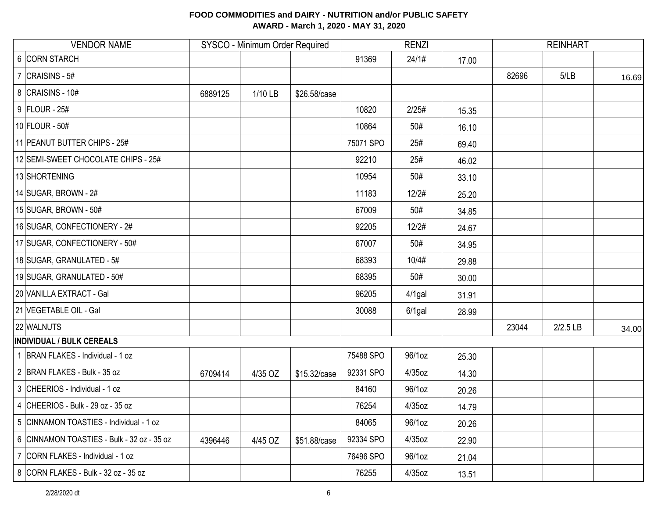| <b>VENDOR NAME</b>                         |         | SYSCO - Minimum Order Required |              |           | <b>RENZI</b> |       |       | <b>REINHART</b> |       |
|--------------------------------------------|---------|--------------------------------|--------------|-----------|--------------|-------|-------|-----------------|-------|
| 6 CORN STARCH                              |         |                                |              | 91369     | 24/1#        | 17.00 |       |                 |       |
| 7 $CRAISINS - 5#$                          |         |                                |              |           |              |       | 82696 | 5/LB            | 16.69 |
| 8 CRAISINS - 10#                           | 6889125 | 1/10 LB                        | \$26.58/case |           |              |       |       |                 |       |
| 9 FLOUR - 25#                              |         |                                |              | 10820     | 2/25#        | 15.35 |       |                 |       |
| $10$ FLOUR - 50#                           |         |                                |              | 10864     | 50#          | 16.10 |       |                 |       |
| 11 PEANUT BUTTER CHIPS - 25#               |         |                                |              | 75071 SPO | 25#          | 69.40 |       |                 |       |
| 12 SEMI-SWEET CHOCOLATE CHIPS - 25#        |         |                                |              | 92210     | 25#          | 46.02 |       |                 |       |
| 13 SHORTENING                              |         |                                |              | 10954     | 50#          | 33.10 |       |                 |       |
| 14 SUGAR, BROWN - 2#                       |         |                                |              | 11183     | 12/2#        | 25.20 |       |                 |       |
| 15 SUGAR, BROWN - 50#                      |         |                                |              | 67009     | 50#          | 34.85 |       |                 |       |
| 16 SUGAR, CONFECTIONERY - 2#               |         |                                |              | 92205     | 12/2#        | 24.67 |       |                 |       |
| 17 SUGAR, CONFECTIONERY - 50#              |         |                                |              | 67007     | 50#          | 34.95 |       |                 |       |
| 18 SUGAR, GRANULATED - 5#                  |         |                                |              | 68393     | 10/4#        | 29.88 |       |                 |       |
| 19 SUGAR, GRANULATED - 50#                 |         |                                |              | 68395     | 50#          | 30.00 |       |                 |       |
| 20 VANILLA EXTRACT - Gal                   |         |                                |              | 96205     | $4/1$ gal    | 31.91 |       |                 |       |
| 21 VEGETABLE OIL - Gal                     |         |                                |              | 30088     | $6/1$ gal    | 28.99 |       |                 |       |
| 22 WALNUTS                                 |         |                                |              |           |              |       | 23044 | 2/2.5 LB        | 34.00 |
| <b>INDIVIDUAL / BULK CEREALS</b>           |         |                                |              |           |              |       |       |                 |       |
| 1 BRAN FLAKES - Individual - 1 oz          |         |                                |              | 75488 SPO | 96/1oz       | 25.30 |       |                 |       |
| 2 BRAN FLAKES - Bulk - 35 oz               | 6709414 | 4/35 OZ                        | \$15.32/case | 92331 SPO | 4/35oz       | 14.30 |       |                 |       |
| 3 CHEERIOS - Individual - 1 oz             |         |                                |              | 84160     | 96/1oz       | 20.26 |       |                 |       |
| 4 CHEERIOS - Bulk - 29 oz - 35 oz          |         |                                |              | 76254     | 4/35oz       | 14.79 |       |                 |       |
| 5 CINNAMON TOASTIES - Individual - 1 oz    |         |                                |              | 84065     | 96/1oz       | 20.26 |       |                 |       |
| 6 CINNAMON TOASTIES - Bulk - 32 oz - 35 oz | 4396446 | 4/45 OZ                        | \$51.88/case | 92334 SPO | $4/35$ oz    | 22.90 |       |                 |       |
| 7 CORN FLAKES - Individual - 1 oz          |         |                                |              | 76496 SPO | 96/1oz       | 21.04 |       |                 |       |
| 8 CORN FLAKES - Bulk - 32 oz - 35 oz       |         |                                |              | 76255     | $4/35$ oz    | 13.51 |       |                 |       |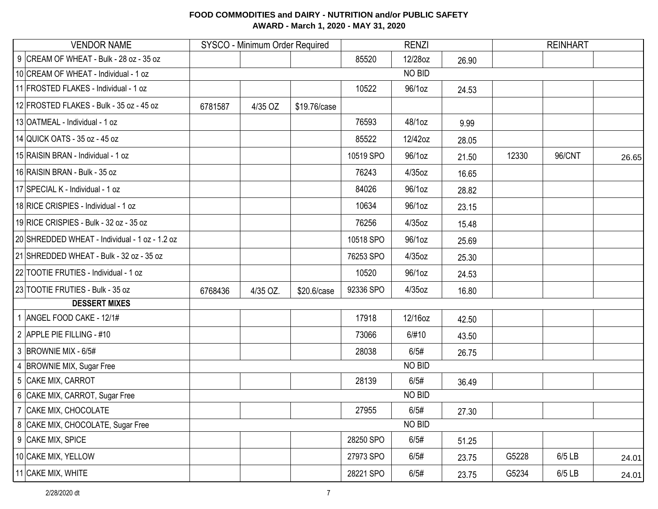| <b>VENDOR NAME</b>                             |         | SYSCO - Minimum Order Required |              |           | <b>RENZI</b> |       |       | <b>REINHART</b> |       |
|------------------------------------------------|---------|--------------------------------|--------------|-----------|--------------|-------|-------|-----------------|-------|
| 9 CREAM OF WHEAT - Bulk - 28 oz - 35 oz        |         |                                |              | 85520     | 12/28oz      | 26.90 |       |                 |       |
| 10 CREAM OF WHEAT - Individual - 1 oz          |         |                                |              |           | NO BID       |       |       |                 |       |
| 11 FROSTED FLAKES - Individual - 1 oz          |         |                                |              | 10522     | 96/1oz       | 24.53 |       |                 |       |
| 12 FROSTED FLAKES - Bulk - 35 oz - 45 oz       | 6781587 | 4/35 OZ                        | \$19.76/case |           |              |       |       |                 |       |
| 13 OATMEAL - Individual - 1 oz                 |         |                                |              | 76593     | 48/1oz       | 9.99  |       |                 |       |
| 14 QUICK OATS - 35 oz - 45 oz                  |         |                                |              | 85522     | 12/42oz      | 28.05 |       |                 |       |
| 15 RAISIN BRAN - Individual - 1 oz             |         |                                |              | 10519 SPO | 96/1oz       | 21.50 | 12330 | 96/CNT          | 26.65 |
| 16 RAISIN BRAN - Bulk - 35 oz                  |         |                                |              | 76243     | 4/35oz       | 16.65 |       |                 |       |
| 17 SPECIAL K - Individual - 1 oz               |         |                                |              | 84026     | 96/1oz       | 28.82 |       |                 |       |
| 18 RICE CRISPIES - Individual - 1 oz           |         |                                |              | 10634     | 96/1oz       | 23.15 |       |                 |       |
| 19 RICE CRISPIES - Bulk - 32 oz - 35 oz        |         |                                |              | 76256     | 4/35oz       | 15.48 |       |                 |       |
| 20 SHREDDED WHEAT - Individual - 1 oz - 1.2 oz |         |                                |              | 10518 SPO | 96/1oz       | 25.69 |       |                 |       |
| 21 SHREDDED WHEAT - Bulk - 32 oz - 35 oz       |         |                                |              | 76253 SPO | 4/35oz       | 25.30 |       |                 |       |
| 22 TOOTIE FRUTIES - Individual - 1 oz          |         |                                |              | 10520     | 96/1oz       | 24.53 |       |                 |       |
| 23 TOOTIE FRUTIES - Bulk - 35 oz               | 6768436 | 4/35 OZ.                       | \$20.6/case  | 92336 SPO | 4/35oz       | 16.80 |       |                 |       |
| <b>DESSERT MIXES</b>                           |         |                                |              |           |              |       |       |                 |       |
| 1 ANGEL FOOD CAKE - 12/1#                      |         |                                |              | 17918     | 12/16oz      | 42.50 |       |                 |       |
| 2 APPLE PIE FILLING - #10                      |         |                                |              | 73066     | 6/#10        | 43.50 |       |                 |       |
| $3$ BROWNIE MIX - 6/5#                         |         |                                |              | 28038     | 6/5#         | 26.75 |       |                 |       |
| 4 BROWNIE MIX, Sugar Free                      |         |                                |              |           | NO BID       |       |       |                 |       |
| 5 CAKE MIX, CARROT                             |         |                                |              | 28139     | 6/5#         | 36.49 |       |                 |       |
| 6 CAKE MIX, CARROT, Sugar Free                 |         |                                |              |           | NO BID       |       |       |                 |       |
| 7 CAKE MIX, CHOCOLATE                          |         |                                |              | 27955     | 6/5#         | 27.30 |       |                 |       |
| 8 CAKE MIX, CHOCOLATE, Sugar Free              |         |                                |              |           | NO BID       |       |       |                 |       |
| 9 CAKE MIX, SPICE                              |         |                                |              | 28250 SPO | 6/5#         | 51.25 |       |                 |       |
| 10 CAKE MIX, YELLOW                            |         |                                |              | 27973 SPO | 6/5#         | 23.75 | G5228 | 6/5 LB          | 24.01 |
| 11 CAKE MIX, WHITE                             |         |                                |              | 28221 SPO | 6/5#         | 23.75 | G5234 | 6/5 LB          | 24.01 |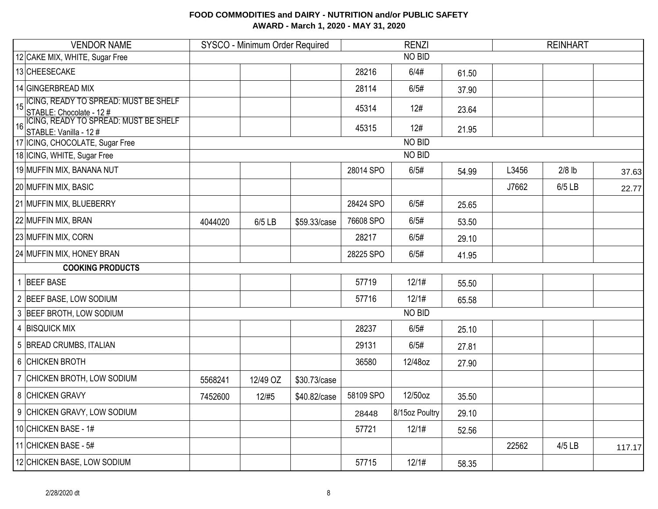| <b>VENDOR NAME</b>                                                             | SYSCO - Minimum Order Required |          |              |           | <b>RENZI</b>   |       | <b>REINHART</b> |          |        |
|--------------------------------------------------------------------------------|--------------------------------|----------|--------------|-----------|----------------|-------|-----------------|----------|--------|
| 12 CAKE MIX, WHITE, Sugar Free                                                 |                                |          |              |           | NO BID         |       |                 |          |        |
| 13 CHEESECAKE                                                                  |                                |          |              | 28216     | 6/4#           | 61.50 |                 |          |        |
| 14 GINGERBREAD MIX                                                             |                                |          |              | 28114     | 6/5#           | 37.90 |                 |          |        |
| <b>ICING, READY TO SPREAD: MUST BE SHELF</b><br>15<br>STABLE: Chocolate - 12 # |                                |          |              | 45314     | 12#            | 23.64 |                 |          |        |
| ICING, READY TO SPREAD: MUST BE SHELF<br>STABLE: Vanilla - 12 #<br>16          |                                |          |              | 45315     | 12#            | 21.95 |                 |          |        |
| 17   ICING, CHOCOLATE, Sugar Free                                              |                                |          |              |           | NO BID         |       |                 |          |        |
| 18 ICING, WHITE, Sugar Free                                                    |                                |          |              |           | NO BID         |       |                 |          |        |
| 19 MUFFIN MIX, BANANA NUT                                                      |                                |          |              | 28014 SPO | 6/5#           | 54.99 | L3456           | $2/8$ lb | 37.63  |
| 20 MUFFIN MIX, BASIC                                                           |                                |          |              |           |                |       | J7662           | 6/5 LB   | 22.77  |
| 21 MUFFIN MIX, BLUEBERRY                                                       |                                |          |              | 28424 SPO | 6/5#           | 25.65 |                 |          |        |
| 22 MUFFIN MIX, BRAN                                                            | 4044020                        | 6/5 LB   | \$59.33/case | 76608 SPO | 6/5#           | 53.50 |                 |          |        |
| 23 MUFFIN MIX, CORN                                                            |                                |          |              | 28217     | 6/5#           | 29.10 |                 |          |        |
| 24 MUFFIN MIX, HONEY BRAN                                                      |                                |          |              | 28225 SPO | 6/5#           | 41.95 |                 |          |        |
| <b>COOKING PRODUCTS</b>                                                        |                                |          |              |           |                |       |                 |          |        |
| 1 BEEF BASE                                                                    |                                |          |              | 57719     | 12/1#          | 55.50 |                 |          |        |
| 2 BEEF BASE, LOW SODIUM                                                        |                                |          |              | 57716     | 12/1#          | 65.58 |                 |          |        |
| 3 BEEF BROTH, LOW SODIUM                                                       |                                |          |              |           | NO BID         |       |                 |          |        |
| 4 BISQUICK MIX                                                                 |                                |          |              | 28237     | 6/5#           | 25.10 |                 |          |        |
| 5 BREAD CRUMBS, ITALIAN                                                        |                                |          |              | 29131     | 6/5#           | 27.81 |                 |          |        |
| 6 CHICKEN BROTH                                                                |                                |          |              | 36580     | 12/48oz        | 27.90 |                 |          |        |
| 7 CHICKEN BROTH, LOW SODIUM                                                    | 5568241                        | 12/49 OZ | \$30.73/case |           |                |       |                 |          |        |
| 8 CHICKEN GRAVY                                                                | 7452600                        | 12/#5    | \$40.82/case | 58109 SPO | 12/50oz        | 35.50 |                 |          |        |
| 9 CHICKEN GRAVY, LOW SODIUM                                                    |                                |          |              | 28448     | 8/15oz Poultry | 29.10 |                 |          |        |
| 10 CHICKEN BASE - 1#                                                           |                                |          |              | 57721     | 12/1#          | 52.56 |                 |          |        |
| 11 CHICKEN BASE - 5#                                                           |                                |          |              |           |                |       | 22562           | $4/5$ LB | 117.17 |
| 12 CHICKEN BASE, LOW SODIUM                                                    |                                |          |              | 57715     | 12/1#          | 58.35 |                 |          |        |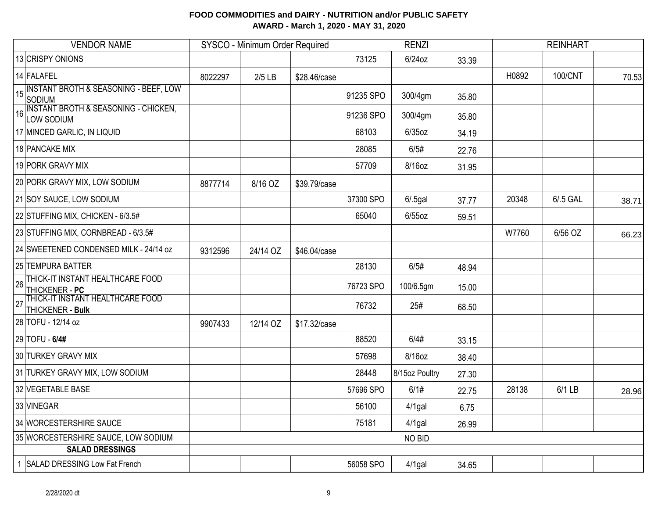|    | <b>VENDOR NAME</b>                                         |         | SYSCO - Minimum Order Required |              |           | <b>RENZI</b>   |       |       | <b>REINHART</b> |       |
|----|------------------------------------------------------------|---------|--------------------------------|--------------|-----------|----------------|-------|-------|-----------------|-------|
|    | 13 CRISPY ONIONS                                           |         |                                |              | 73125     | $6/24$ oz      | 33.39 |       |                 |       |
|    | 14 FALAFEL                                                 | 8022297 | $2/5$ LB                       | \$28.46/case |           |                |       | H0892 | 100/CNT         | 70.53 |
| 15 | <b>INSTANT BROTH &amp; SEASONING - BEEF, LOW</b><br>SODIUM |         |                                |              | 91235 SPO | 300/4gm        | 35.80 |       |                 |       |
| 16 | INSTANT BROTH & SEASONING - CHICKEN,<br>LOW SODIUM         |         |                                |              | 91236 SPO | 300/4gm        | 35.80 |       |                 |       |
|    | 17 MINCED GARLIC, IN LIQUID                                |         |                                |              | 68103     | $6/35$ oz      | 34.19 |       |                 |       |
|    | 18 PANCAKE MIX                                             |         |                                |              | 28085     | 6/5#           | 22.76 |       |                 |       |
|    | 19 PORK GRAVY MIX                                          |         |                                |              | 57709     | 8/16oz         | 31.95 |       |                 |       |
|    | 20 PORK GRAVY MIX, LOW SODIUM                              | 8877714 | 8/16 OZ                        | \$39.79/case |           |                |       |       |                 |       |
|    | 21 SOY SAUCE, LOW SODIUM                                   |         |                                |              | 37300 SPO | $6/0.5$ gal    | 37.77 | 20348 | 6/.5 GAL        | 38.71 |
|    | 22 STUFFING MIX, CHICKEN - 6/3.5#                          |         |                                |              | 65040     | $6/55$ oz      | 59.51 |       |                 |       |
|    | 23 STUFFING MIX, CORNBREAD - 6/3.5#                        |         |                                |              |           |                |       | W7760 | 6/56 OZ         | 66.23 |
|    | 24 SWEETENED CONDENSED MILK - 24/14 oz                     | 9312596 | 24/14 OZ                       | \$46.04/case |           |                |       |       |                 |       |
|    | 25 TEMPURA BATTER                                          |         |                                |              | 28130     | 6/5#           | 48.94 |       |                 |       |
| 26 | THICK-IT INSTANT HEALTHCARE FOOD<br>THICKENER - PC         |         |                                |              | 76723 SPO | 100/6.5gm      | 15.00 |       |                 |       |
| 27 | THICK-IT INSTANT HEALTHCARE FOOD<br>THICKENER - Bulk       |         |                                |              | 76732     | 25#            | 68.50 |       |                 |       |
|    | 28 TOFU - 12/14 oz                                         | 9907433 | 12/14 OZ                       | \$17.32/case |           |                |       |       |                 |       |
|    | 29 TOFU - 6/4#                                             |         |                                |              | 88520     | 6/4#           | 33.15 |       |                 |       |
|    | 30 TURKEY GRAVY MIX                                        |         |                                |              | 57698     | 8/16oz         | 38.40 |       |                 |       |
|    | 31 TURKEY GRAVY MIX, LOW SODIUM                            |         |                                |              | 28448     | 8/15oz Poultry | 27.30 |       |                 |       |
|    | 32 VEGETABLE BASE                                          |         |                                |              | 57696 SPO | 6/1#           | 22.75 | 28138 | 6/1 LB          | 28.96 |
|    | 33 VINEGAR                                                 |         |                                |              | 56100     | $4/1$ gal      | 6.75  |       |                 |       |
|    | 34 WORCESTERSHIRE SAUCE                                    |         |                                |              | 75181     | $4/1$ gal      | 26.99 |       |                 |       |
|    | 35 WORCESTERSHIRE SAUCE, LOW SODIUM                        |         |                                |              |           | NO BID         |       |       |                 |       |
|    | <b>SALAD DRESSINGS</b>                                     |         |                                |              |           |                |       |       |                 |       |
|    | SALAD DRESSING Low Fat French                              |         |                                |              | 56058 SPO | 4/1gal         | 34.65 |       |                 |       |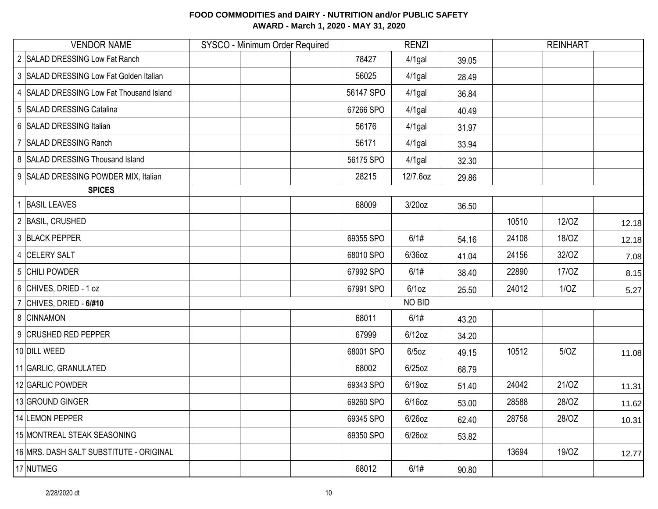| <b>VENDOR NAME</b>                            | SYSCO - Minimum Order Required |           | <b>RENZI</b> |       |       | <b>REINHART</b> |       |
|-----------------------------------------------|--------------------------------|-----------|--------------|-------|-------|-----------------|-------|
| 2 SALAD DRESSING Low Fat Ranch                |                                | 78427     | $4/1$ gal    | 39.05 |       |                 |       |
| 3 SALAD DRESSING Low Fat Golden Italian       |                                | 56025     | $4/1$ gal    | 28.49 |       |                 |       |
| 4 SALAD DRESSING Low Fat Thousand Island      |                                | 56147 SPO | $4/1$ gal    | 36.84 |       |                 |       |
| 5 SALAD DRESSING Catalina                     |                                | 67266 SPO | $4/1$ gal    | 40.49 |       |                 |       |
| 6 SALAD DRESSING Italian                      |                                | 56176     | $4/1$ gal    | 31.97 |       |                 |       |
| $\overline{7}$<br><b>SALAD DRESSING Ranch</b> |                                | 56171     | $4/1$ gal    | 33.94 |       |                 |       |
| 8 SALAD DRESSING Thousand Island              |                                | 56175 SPO | $4/1$ gal    | 32.30 |       |                 |       |
| 9 SALAD DRESSING POWDER MIX, Italian          |                                | 28215     | 12/7.6oz     | 29.86 |       |                 |       |
| <b>SPICES</b>                                 |                                |           |              |       |       |                 |       |
| <b>BASIL LEAVES</b>                           |                                | 68009     | 3/20oz       | 36.50 |       |                 |       |
| 2 BASIL, CRUSHED                              |                                |           |              |       | 10510 | 12/0Z           | 12.18 |
| 3 BLACK PEPPER                                |                                | 69355 SPO | 6/1#         | 54.16 | 24108 | 18/OZ           | 12.18 |
| 4 CELERY SALT                                 |                                | 68010 SPO | $6/36$ oz    | 41.04 | 24156 | 32/OZ           | 7.08  |
| 5 CHILI POWDER                                |                                | 67992 SPO | 6/1#         | 38.40 | 22890 | 17/0Z           | 8.15  |
| 6 CHIVES, DRIED - 1 oz                        |                                | 67991 SPO | $6/1$ oz     | 25.50 | 24012 | 1/OZ            | 5.27  |
| 7 CHIVES, DRIED - $6/#10$                     |                                |           | NO BID       |       |       |                 |       |
| 8 CINNAMON                                    |                                | 68011     | 6/1#         | 43.20 |       |                 |       |
| 9 CRUSHED RED PEPPER                          |                                | 67999     | $6/12$ oz    | 34.20 |       |                 |       |
| 10 DILL WEED                                  |                                | 68001 SPO | $6/5$ oz     | 49.15 | 10512 | 5/OZ            | 11.08 |
| 11 GARLIC, GRANULATED                         |                                | 68002     | $6/25$ oz    | 68.79 |       |                 |       |
| 12 GARLIC POWDER                              |                                | 69343 SPO | 6/19oz       | 51.40 | 24042 | 21/OZ           | 11.31 |
| 13 GROUND GINGER                              |                                | 69260 SPO | $6/16$ oz    | 53.00 | 28588 | 28/OZ           | 11.62 |
| 14 LEMON PEPPER                               |                                | 69345 SPO | $6/26$ oz    | 62.40 | 28758 | 28/OZ           | 10.31 |
| 15 MONTREAL STEAK SEASONING                   |                                | 69350 SPO | $6/26$ oz    | 53.82 |       |                 |       |
| 16 MRS. DASH SALT SUBSTITUTE - ORIGINAL       |                                |           |              |       | 13694 | 19/OZ           | 12.77 |
| 17 NUTMEG                                     |                                | 68012     | 6/1#         | 90.80 |       |                 |       |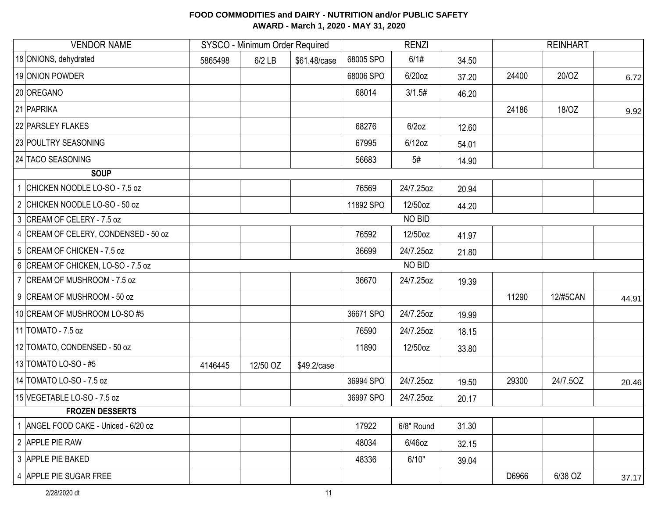| <b>VENDOR NAME</b>                   |         | SYSCO - Minimum Order Required |              |           | <b>RENZI</b> |       |       | <b>REINHART</b> |       |
|--------------------------------------|---------|--------------------------------|--------------|-----------|--------------|-------|-------|-----------------|-------|
| 18 ONIONS, dehydrated                | 5865498 | $6/2$ LB                       | \$61.48/case | 68005 SPO | 6/1#         | 34.50 |       |                 |       |
| 19 ONION POWDER                      |         |                                |              | 68006 SPO | 6/20oz       | 37.20 | 24400 | 20/OZ           | 6.72  |
| 20 OREGANO                           |         |                                |              | 68014     | 3/1.5#       | 46.20 |       |                 |       |
| 21 PAPRIKA                           |         |                                |              |           |              |       | 24186 | 18/OZ           | 9.92  |
| 22 PARSLEY FLAKES                    |         |                                |              | 68276     | $6/2$ oz     | 12.60 |       |                 |       |
| 23 POULTRY SEASONING                 |         |                                |              | 67995     | $6/12$ oz    | 54.01 |       |                 |       |
| 24 TACO SEASONING                    |         |                                |              | 56683     | 5#           | 14.90 |       |                 |       |
| <b>SOUP</b>                          |         |                                |              |           |              |       |       |                 |       |
| 1 CHICKEN NOODLE LO-SO - 7.5 oz      |         |                                |              | 76569     | 24/7.25oz    | 20.94 |       |                 |       |
| 2 CHICKEN NOODLE LO-SO - 50 oz       |         |                                |              | 11892 SPO | 12/50oz      | 44.20 |       |                 |       |
| 3 CREAM OF CELERY - 7.5 oz           |         |                                |              |           | NO BID       |       |       |                 |       |
| 4 CREAM OF CELERY, CONDENSED - 50 oz |         |                                |              | 76592     | 12/50oz      | 41.97 |       |                 |       |
| 5 CREAM OF CHICKEN - 7.5 oz          |         |                                |              | 36699     | 24/7.25oz    | 21.80 |       |                 |       |
| 6 CREAM OF CHICKEN, LO-SO - 7.5 oz   |         |                                |              |           | NO BID       |       |       |                 |       |
| 7 CREAM OF MUSHROOM - 7.5 oz         |         |                                |              | 36670     | 24/7.25oz    | 19.39 |       |                 |       |
| 9 CREAM OF MUSHROOM - 50 oz          |         |                                |              |           |              |       | 11290 | <b>12/#5CAN</b> | 44.91 |
| 10 CREAM OF MUSHROOM LO-SO #5        |         |                                |              | 36671 SPO | 24/7.25oz    | 19.99 |       |                 |       |
| 11 TOMATO - 7.5 oz                   |         |                                |              | 76590     | 24/7.25oz    | 18.15 |       |                 |       |
| 12 TOMATO, CONDENSED - 50 oz         |         |                                |              | 11890     | 12/50oz      | 33.80 |       |                 |       |
| 13 TOMATO LO-SO - #5                 | 4146445 | 12/50 OZ                       | \$49.2/case  |           |              |       |       |                 |       |
| 14 TOMATO LO-SO - 7.5 oz             |         |                                |              | 36994 SPO | 24/7.25oz    | 19.50 | 29300 | 24/7.50Z        | 20.46 |
| 15 VEGETABLE LO-SO - 7.5 oz          |         |                                |              | 36997 SPO | 24/7.25oz    | 20.17 |       |                 |       |
| <b>FROZEN DESSERTS</b>               |         |                                |              |           |              |       |       |                 |       |
| 1 ANGEL FOOD CAKE - Uniced - 6/20 oz |         |                                |              | 17922     | 6/8" Round   | 31.30 |       |                 |       |
| 2 APPLE PIE RAW                      |         |                                |              | 48034     | 6/46oz       | 32.15 |       |                 |       |
| 3 APPLE PIE BAKED                    |         |                                |              | 48336     | 6/10"        | 39.04 |       |                 |       |
| 4 APPLE PIE SUGAR FREE               |         |                                |              |           |              |       | D6966 | 6/38 OZ         | 37.17 |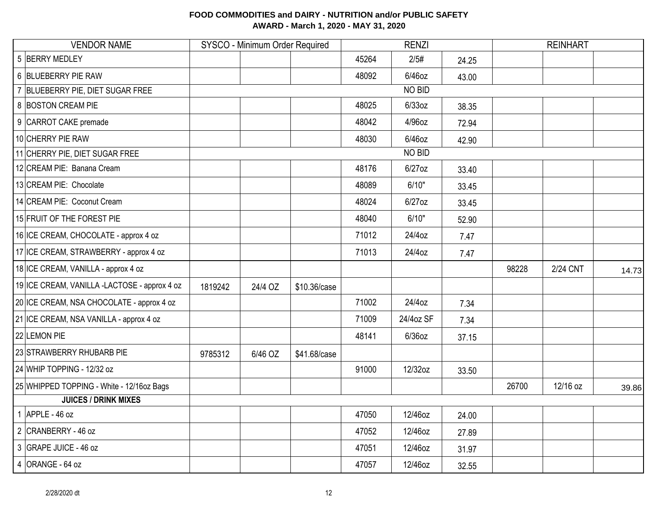| <b>VENDOR NAME</b>                           |         | SYSCO - Minimum Order Required |              |       | <b>RENZI</b>  |       |       | <b>REINHART</b> |       |
|----------------------------------------------|---------|--------------------------------|--------------|-------|---------------|-------|-------|-----------------|-------|
| 5 BERRY MEDLEY                               |         |                                |              | 45264 | 2/5#          | 24.25 |       |                 |       |
| 6 BLUEBERRY PIE RAW                          |         |                                |              | 48092 | 6/46oz        | 43.00 |       |                 |       |
| 7 BLUEBERRY PIE, DIET SUGAR FREE             |         |                                |              |       | NO BID        |       |       |                 |       |
| 8 BOSTON CREAM PIE                           |         |                                |              | 48025 | $6/33$ oz     | 38.35 |       |                 |       |
| 9 CARROT CAKE premade                        |         |                                |              | 48042 | 4/96oz        | 72.94 |       |                 |       |
| 10 CHERRY PIE RAW                            |         |                                |              | 48030 | 6/46oz        | 42.90 |       |                 |       |
| 11 CHERRY PIE, DIET SUGAR FREE               |         |                                |              |       | <b>NO BID</b> |       |       |                 |       |
| 12 CREAM PIE: Banana Cream                   |         |                                |              | 48176 | $6/27$ oz     | 33.40 |       |                 |       |
| 13 CREAM PIE: Chocolate                      |         |                                |              | 48089 | 6/10"         | 33.45 |       |                 |       |
| 14 CREAM PIE: Coconut Cream                  |         |                                |              | 48024 | 6/27oz        | 33.45 |       |                 |       |
| 15 FRUIT OF THE FOREST PIE                   |         |                                |              | 48040 | 6/10"         | 52.90 |       |                 |       |
| 16 ICE CREAM, CHOCOLATE - approx 4 oz        |         |                                |              | 71012 | 24/4oz        | 7.47  |       |                 |       |
| 17 ICE CREAM, STRAWBERRY - approx 4 oz       |         |                                |              | 71013 | 24/4oz        | 7.47  |       |                 |       |
| 18 ICE CREAM, VANILLA - approx 4 oz          |         |                                |              |       |               |       | 98228 | 2/24 CNT        | 14.73 |
| 19 ICE CREAM, VANILLA -LACTOSE - approx 4 oz | 1819242 | 24/4 OZ                        | \$10.36/case |       |               |       |       |                 |       |
| 20 ICE CREAM, NSA CHOCOLATE - approx 4 oz    |         |                                |              | 71002 | 24/4oz        | 7.34  |       |                 |       |
| 21 ICE CREAM, NSA VANILLA - approx 4 oz      |         |                                |              | 71009 | 24/4oz SF     | 7.34  |       |                 |       |
| 22 LEMON PIE                                 |         |                                |              | 48141 | $6/36$ oz     | 37.15 |       |                 |       |
| 23 STRAWBERRY RHUBARB PIE                    | 9785312 | 6/46 OZ                        | \$41.68/case |       |               |       |       |                 |       |
| 24 WHIP TOPPING - 12/32 oz                   |         |                                |              | 91000 | 12/32oz       | 33.50 |       |                 |       |
| 25 WHIPPED TOPPING - White - 12/16oz Bags    |         |                                |              |       |               |       | 26700 | 12/16 oz        | 39.86 |
| <b>JUICES / DRINK MIXES</b>                  |         |                                |              |       |               |       |       |                 |       |
| 1 APPLE - $46$ oz                            |         |                                |              | 47050 | 12/46oz       | 24.00 |       |                 |       |
| 2 CRANBERRY - 46 oz                          |         |                                |              | 47052 | 12/46oz       | 27.89 |       |                 |       |
| 3 GRAPE JUICE - 46 oz                        |         |                                |              | 47051 | 12/46oz       | 31.97 |       |                 |       |
| $4$ ORANGE - 64 oz                           |         |                                |              | 47057 | 12/46oz       | 32.55 |       |                 |       |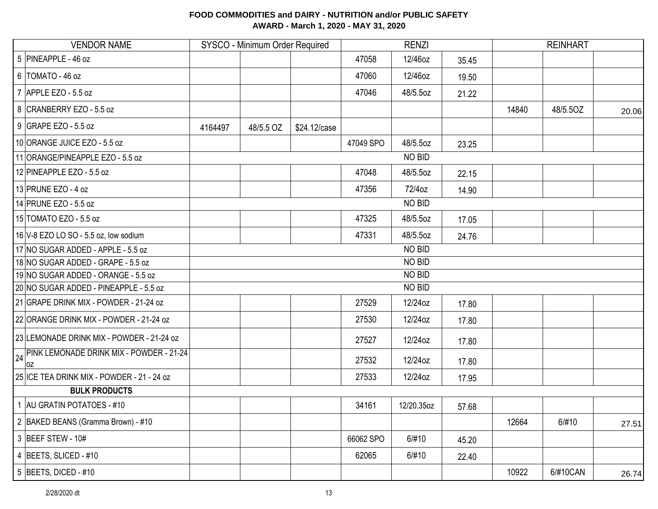| <b>VENDOR NAME</b>                                    |         | SYSCO - Minimum Order Required |              |           | <b>RENZI</b> |       | <b>REINHART</b> |          |       |  |
|-------------------------------------------------------|---------|--------------------------------|--------------|-----------|--------------|-------|-----------------|----------|-------|--|
| 5 PINEAPPLE - 46 oz                                   |         |                                |              | 47058     | 12/46oz      | 35.45 |                 |          |       |  |
| $6$ TOMATO - 46 oz                                    |         |                                |              | 47060     | 12/46oz      | 19.50 |                 |          |       |  |
| 7 APPLE EZO - 5.5 oz                                  |         |                                |              | 47046     | 48/5.5oz     | 21.22 |                 |          |       |  |
| 8 CRANBERRY EZO - 5.5 oz                              |         |                                |              |           |              |       | 14840           | 48/5.5OZ | 20.06 |  |
| 9 GRAPE EZO - 5.5 oz                                  | 4164497 | 48/5.5 OZ                      | \$24.12/case |           |              |       |                 |          |       |  |
| 10 ORANGE JUICE EZO - 5.5 oz                          |         |                                |              | 47049 SPO | 48/5.5oz     | 23.25 |                 |          |       |  |
| 11 ORANGE/PINEAPPLE EZO - 5.5 oz                      |         |                                |              |           | NO BID       |       |                 |          |       |  |
| 12 PINEAPPLE EZO - 5.5 oz                             |         |                                |              | 47048     | 48/5.5oz     | 22.15 |                 |          |       |  |
| 13 PRUNE EZO - 4 oz                                   |         |                                |              | 47356     | 72/4oz       | 14.90 |                 |          |       |  |
| 14 PRUNE EZO - 5.5 oz                                 |         |                                |              |           | NO BID       |       |                 |          |       |  |
| 15 TOMATO EZO - 5.5 oz                                |         |                                |              | 47325     | 48/5.5oz     | 17.05 |                 |          |       |  |
| 16 V-8 EZO LO SO - 5.5 oz, low sodium                 |         |                                |              | 47331     | 48/5.5oz     | 24.76 |                 |          |       |  |
| 17 NO SUGAR ADDED - APPLE - 5.5 oz                    |         |                                |              |           | NO BID       |       |                 |          |       |  |
| 18 NO SUGAR ADDED - GRAPE - 5.5 oz                    |         |                                |              |           | NO BID       |       |                 |          |       |  |
| 19 NO SUGAR ADDED - ORANGE - 5.5 oz                   |         |                                |              |           | NO BID       |       |                 |          |       |  |
| 20 NO SUGAR ADDED - PINEAPPLE - 5.5 oz                |         |                                |              |           | NO BID       |       |                 |          |       |  |
| 21 GRAPE DRINK MIX - POWDER - 21-24 oz                |         |                                |              | 27529     | 12/24oz      | 17.80 |                 |          |       |  |
| 22 ORANGE DRINK MIX - POWDER - 21-24 oz               |         |                                |              | 27530     | 12/24oz      | 17.80 |                 |          |       |  |
| 23 LEMONADE DRINK MIX - POWDER - 21-24 oz             |         |                                |              | 27527     | 12/24oz      | 17.80 |                 |          |       |  |
| PINK LEMONADE DRINK MIX - POWDER - 21-24<br>24<br>loz |         |                                |              | 27532     | 12/24oz      | 17.80 |                 |          |       |  |
| 25 ICE TEA DRINK MIX - POWDER - 21 - 24 oz            |         |                                |              | 27533     | 12/24oz      | 17.95 |                 |          |       |  |
| <b>BULK PRODUCTS</b>                                  |         |                                |              |           |              |       |                 |          |       |  |
| 1 AU GRATIN POTATOES - #10                            |         |                                |              | 34161     | 12/20.35oz   | 57.68 |                 |          |       |  |
| 2 BAKED BEANS (Gramma Brown) - #10                    |         |                                |              |           |              |       | 12664           | 6/#10    | 27.51 |  |
| 3 BEEF STEW - 10#                                     |         |                                |              | 66062 SPO | 6/#10        | 45.20 |                 |          |       |  |
| 4 BEETS, SLICED - #10                                 |         |                                |              | 62065     | 6/#10        | 22.40 |                 |          |       |  |
| $5$ BEETS, DICED - #10                                |         |                                |              |           |              |       | 10922           | 6/#10CAN | 26.74 |  |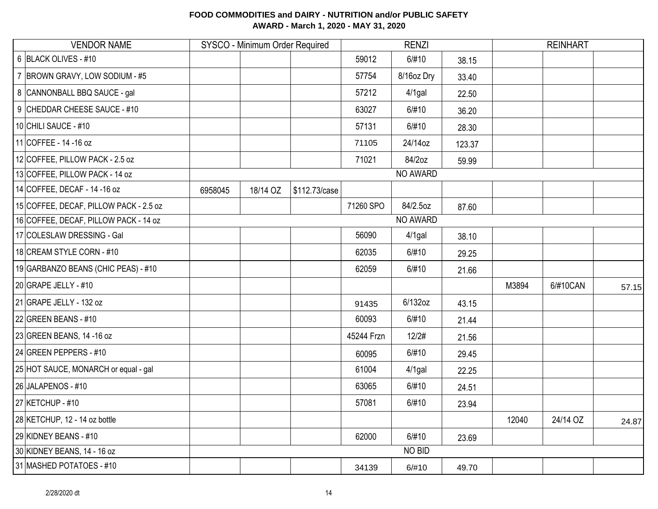| <b>VENDOR NAME</b>                     |         | SYSCO - Minimum Order Required |               |            | <b>RENZI</b> |        |       | <b>REINHART</b> |       |
|----------------------------------------|---------|--------------------------------|---------------|------------|--------------|--------|-------|-----------------|-------|
| 6 BLACK OLIVES - #10                   |         |                                |               | 59012      | 6/#10        | 38.15  |       |                 |       |
| 7 BROWN GRAVY, LOW SODIUM - #5         |         |                                |               | 57754      | 8/16oz Dry   | 33.40  |       |                 |       |
| 8 CANNONBALL BBQ SAUCE - gal           |         |                                |               | 57212      | $4/1$ gal    | 22.50  |       |                 |       |
| 9 CHEDDAR CHEESE SAUCE - #10           |         |                                |               | 63027      | 6/#10        | 36.20  |       |                 |       |
| 10 CHILI SAUCE - #10                   |         |                                |               | 57131      | 6/#10        | 28.30  |       |                 |       |
| 11 COFFEE - 14 - 16 oz                 |         |                                |               | 71105      | 24/14oz      | 123.37 |       |                 |       |
| 12 COFFEE, PILLOW PACK - 2.5 oz        |         |                                |               | 71021      | 84/2oz       | 59.99  |       |                 |       |
| 13 COFFEE, PILLOW PACK - 14 oz         |         |                                |               |            | NO AWARD     |        |       |                 |       |
| 14 COFFEE, DECAF - 14 - 16 oz          | 6958045 | 18/14 OZ                       | \$112.73/case |            |              |        |       |                 |       |
| 15 COFFEE, DECAF, PILLOW PACK - 2.5 oz |         |                                |               | 71260 SPO  | 84/2.5oz     | 87.60  |       |                 |       |
| 16 COFFEE, DECAF, PILLOW PACK - 14 oz  |         |                                |               |            | NO AWARD     |        |       |                 |       |
| 17 COLESLAW DRESSING - Gal             |         |                                |               | 56090      | $4/1$ gal    | 38.10  |       |                 |       |
| 18 CREAM STYLE CORN - #10              |         |                                |               | 62035      | 6/#10        | 29.25  |       |                 |       |
| 19 GARBANZO BEANS (CHIC PEAS) - #10    |         |                                |               | 62059      | 6/#10        | 21.66  |       |                 |       |
| 20 GRAPE JELLY - #10                   |         |                                |               |            |              |        | M3894 | 6/#10CAN        | 57.15 |
| 21 GRAPE JELLY - 132 oz                |         |                                |               | 91435      | 6/132oz      | 43.15  |       |                 |       |
| 22 GREEN BEANS - #10                   |         |                                |               | 60093      | 6/#10        | 21.44  |       |                 |       |
| 23 GREEN BEANS, 14 -16 oz              |         |                                |               | 45244 Frzn | 12/2#        | 21.56  |       |                 |       |
| 24 GREEN PEPPERS - #10                 |         |                                |               | 60095      | 6/#10        | 29.45  |       |                 |       |
| 25 HOT SAUCE, MONARCH or equal - gal   |         |                                |               | 61004      | $4/1$ gal    | 22.25  |       |                 |       |
| 26 JALAPENOS - #10                     |         |                                |               | 63065      | 6/#10        | 24.51  |       |                 |       |
| 27 KETCHUP - #10                       |         |                                |               | 57081      | 6/#10        | 23.94  |       |                 |       |
| 28 KETCHUP, 12 - 14 oz bottle          |         |                                |               |            |              |        | 12040 | 24/14 OZ        | 24.87 |
| 29 KIDNEY BEANS - #10                  |         |                                |               | 62000      | 6/#10        | 23.69  |       |                 |       |
| 30 KIDNEY BEANS, 14 - 16 oz            |         |                                |               |            | NO BID       |        |       |                 |       |
| 31 MASHED POTATOES - #10               |         |                                |               | 34139      | 6/#10        | 49.70  |       |                 |       |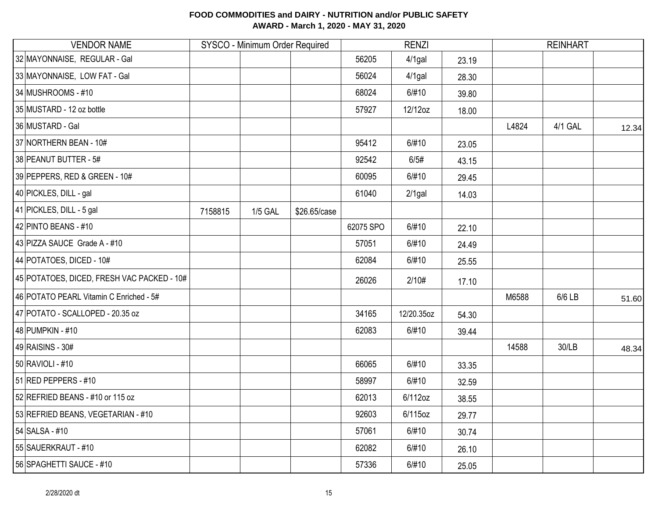| <b>VENDOR NAME</b>                         |         | SYSCO - Minimum Order Required |              |           | <b>RENZI</b> |       |       | <b>REINHART</b> |       |
|--------------------------------------------|---------|--------------------------------|--------------|-----------|--------------|-------|-------|-----------------|-------|
| 32 MAYONNAISE, REGULAR - Gal               |         |                                |              | 56205     | $4/1$ gal    | 23.19 |       |                 |       |
| 33 MAYONNAISE, LOW FAT - Gal               |         |                                |              | 56024     | $4/1$ gal    | 28.30 |       |                 |       |
| 34 MUSHROOMS - #10                         |         |                                |              | 68024     | 6/#10        | 39.80 |       |                 |       |
| 35 MUSTARD - 12 oz bottle                  |         |                                |              | 57927     | 12/12oz      | 18.00 |       |                 |       |
| 36 MUSTARD - Gal                           |         |                                |              |           |              |       | L4824 | 4/1 GAL         | 12.34 |
| 37 NORTHERN BEAN - 10#                     |         |                                |              | 95412     | 6/#10        | 23.05 |       |                 |       |
| 38 PEANUT BUTTER - 5#                      |         |                                |              | 92542     | 6/5#         | 43.15 |       |                 |       |
| 39 PEPPERS, RED & GREEN - 10#              |         |                                |              | 60095     | 6/#10        | 29.45 |       |                 |       |
| 40 PICKLES, DILL - gal                     |         |                                |              | 61040     | $2/1$ gal    | 14.03 |       |                 |       |
| 41 PICKLES, DILL - 5 gal                   | 7158815 | <b>1/5 GAL</b>                 | \$26.65/case |           |              |       |       |                 |       |
| 42 PINTO BEANS - #10                       |         |                                |              | 62075 SPO | 6/#10        | 22.10 |       |                 |       |
| 43 PIZZA SAUCE Grade A - #10               |         |                                |              | 57051     | 6/#10        | 24.49 |       |                 |       |
| 44 POTATOES, DICED - 10#                   |         |                                |              | 62084     | 6/#10        | 25.55 |       |                 |       |
| 45 POTATOES, DICED, FRESH VAC PACKED - 10# |         |                                |              | 26026     | 2/10#        | 17.10 |       |                 |       |
| 46 POTATO PEARL Vitamin C Enriched - 5#    |         |                                |              |           |              |       | M6588 | 6/6 LB          | 51.60 |
| 47 POTATO - SCALLOPED - 20.35 oz           |         |                                |              | 34165     | 12/20.35oz   | 54.30 |       |                 |       |
| 48 PUMPKIN - #10                           |         |                                |              | 62083     | 6/#10        | 39.44 |       |                 |       |
| 49 RAISINS - 30#                           |         |                                |              |           |              |       | 14588 | 30/LB           | 48.34 |
| 50 RAVIOLI - #10                           |         |                                |              | 66065     | 6/#10        | 33.35 |       |                 |       |
| 51 RED PEPPERS - #10                       |         |                                |              | 58997     | 6/#10        | 32.59 |       |                 |       |
| 52 REFRIED BEANS - #10 or 115 oz           |         |                                |              | 62013     | 6/112oz      | 38.55 |       |                 |       |
| 53 REFRIED BEANS, VEGETARIAN - #10         |         |                                |              | 92603     | 6/115oz      | 29.77 |       |                 |       |
| 54 SALSA - #10                             |         |                                |              | 57061     | 6/#10        | 30.74 |       |                 |       |
| 55 SAUERKRAUT - #10                        |         |                                |              | 62082     | 6/#10        | 26.10 |       |                 |       |
| 56 SPAGHETTI SAUCE - #10                   |         |                                |              | 57336     | 6/#10        | 25.05 |       |                 |       |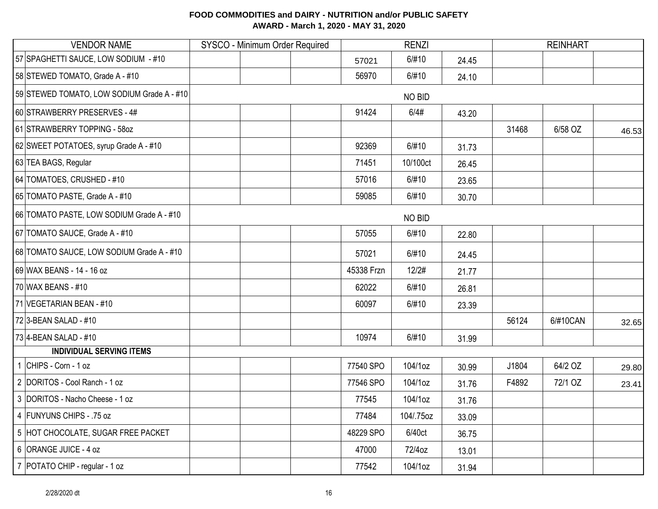| <b>VENDOR NAME</b>                         | SYSCO - Minimum Order Required |            | <b>RENZI</b> |       |       | <b>REINHART</b> |       |
|--------------------------------------------|--------------------------------|------------|--------------|-------|-------|-----------------|-------|
| 57 SPAGHETTI SAUCE, LOW SODIUM - #10       |                                | 57021      | 6/#10        | 24.45 |       |                 |       |
| 58 STEWED TOMATO, Grade A - #10            |                                | 56970      | 6/#10        | 24.10 |       |                 |       |
| 59 STEWED TOMATO, LOW SODIUM Grade A - #10 |                                |            | NO BID       |       |       |                 |       |
| 60 STRAWBERRY PRESERVES - 4#               |                                | 91424      | 6/4#         | 43.20 |       |                 |       |
| 61 STRAWBERRY TOPPING - 580Z               |                                |            |              |       | 31468 | 6/58 OZ         | 46.53 |
| 62 SWEET POTATOES, syrup Grade A - #10     |                                | 92369      | 6/#10        | 31.73 |       |                 |       |
| 63 TEA BAGS, Regular                       |                                | 71451      | 10/100ct     | 26.45 |       |                 |       |
| 64 TOMATOES, CRUSHED - #10                 |                                | 57016      | 6/#10        | 23.65 |       |                 |       |
| 65 TOMATO PASTE, Grade A - #10             |                                | 59085      | 6/#10        | 30.70 |       |                 |       |
| 66 TOMATO PASTE, LOW SODIUM Grade A - #10  |                                |            | NO BID       |       |       |                 |       |
| 67 TOMATO SAUCE, Grade A - #10             |                                | 57055      | 6/#10        | 22.80 |       |                 |       |
| 68 TOMATO SAUCE, LOW SODIUM Grade A - #10  |                                | 57021      | 6/#10        | 24.45 |       |                 |       |
| 69 WAX BEANS - 14 - 16 oz                  |                                | 45338 Frzn | 12/2#        | 21.77 |       |                 |       |
| 70 WAX BEANS - #10                         |                                | 62022      | 6/#10        | 26.81 |       |                 |       |
| 71 VEGETARIAN BEAN - #10                   |                                | 60097      | 6/#10        | 23.39 |       |                 |       |
| 72 3-BEAN SALAD - #10                      |                                |            |              |       | 56124 | 6/#10CAN        | 32.65 |
| 73 4-BEAN SALAD - #10                      |                                | 10974      | 6/#10        | 31.99 |       |                 |       |
| <b>INDIVIDUAL SERVING ITEMS</b>            |                                |            |              |       |       |                 |       |
| 1 CHIPS - Corn - 1 oz                      |                                | 77540 SPO  | 104/1oz      | 30.99 | J1804 | 64/2 OZ         | 29.80 |
| 2 DORITOS - Cool Ranch - 1 oz              |                                | 77546 SPO  | 104/1oz      | 31.76 | F4892 | 72/1 OZ         | 23.41 |
| 3 DORITOS - Nacho Cheese - 1 oz            |                                | 77545      | 104/1oz      | 31.76 |       |                 |       |
| 4 FUNYUNS CHIPS - .75 oz                   |                                | 77484      | 104/.75oz    | 33.09 |       |                 |       |
| 5 HOT CHOCOLATE, SUGAR FREE PACKET         |                                | 48229 SPO  | 6/40ct       | 36.75 |       |                 |       |
| 6 ORANGE JUICE - 4 oz                      |                                | 47000      | 72/4oz       | 13.01 |       |                 |       |
| 7 POTATO CHIP - regular - 1 oz             |                                | 77542      | 104/1oz      | 31.94 |       |                 |       |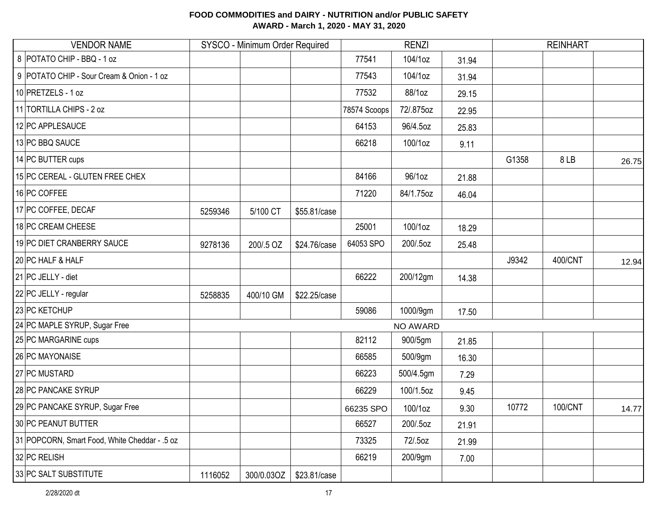| <b>VENDOR NAME</b>                            |         | SYSCO - Minimum Order Required |              |              | <b>RENZI</b> |       |       | <b>REINHART</b> |       |
|-----------------------------------------------|---------|--------------------------------|--------------|--------------|--------------|-------|-------|-----------------|-------|
| 8 POTATO CHIP - BBQ - 1 oz                    |         |                                |              | 77541        | 104/1oz      | 31.94 |       |                 |       |
| 9 POTATO CHIP - Sour Cream & Onion - 1 oz     |         |                                |              | 77543        | 104/1oz      | 31.94 |       |                 |       |
| 10 PRETZELS - 1 oz                            |         |                                |              | 77532        | 88/1oz       | 29.15 |       |                 |       |
| 11 TORTILLA CHIPS - 2 oz                      |         |                                |              | 78574 Scoops | 72/.875oz    | 22.95 |       |                 |       |
| 12 PC APPLESAUCE                              |         |                                |              | 64153        | 96/4.5oz     | 25.83 |       |                 |       |
| 13 PC BBQ SAUCE                               |         |                                |              | 66218        | 100/1oz      | 9.11  |       |                 |       |
| 14 PC BUTTER cups                             |         |                                |              |              |              |       | G1358 | 8LB             | 26.75 |
| 15 PC CEREAL - GLUTEN FREE CHEX               |         |                                |              | 84166        | 96/1oz       | 21.88 |       |                 |       |
| 16 PC COFFEE                                  |         |                                |              | 71220        | 84/1.75oz    | 46.04 |       |                 |       |
| 17 PC COFFEE, DECAF                           | 5259346 | 5/100 CT                       | \$55.81/case |              |              |       |       |                 |       |
| 18 PC CREAM CHEESE                            |         |                                |              | 25001        | 100/1oz      | 18.29 |       |                 |       |
| 19 PC DIET CRANBERRY SAUCE                    | 9278136 | 200/.5 OZ                      | \$24.76/case | 64053 SPO    | 200/.5oz     | 25.48 |       |                 |       |
| 20 PC HALF & HALF                             |         |                                |              |              |              |       | J9342 | 400/CNT         | 12.94 |
| 21 PC JELLY - diet                            |         |                                |              | 66222        | 200/12gm     | 14.38 |       |                 |       |
| 22 PC JELLY - regular                         | 5258835 | 400/10 GM                      | \$22.25/case |              |              |       |       |                 |       |
| 23 PC KETCHUP                                 |         |                                |              | 59086        | 1000/9gm     | 17.50 |       |                 |       |
| 24 PC MAPLE SYRUP, Sugar Free                 |         |                                |              |              | NO AWARD     |       |       |                 |       |
| 25 PC MARGARINE cups                          |         |                                |              | 82112        | 900/5gm      | 21.85 |       |                 |       |
| 26 PC MAYONAISE                               |         |                                |              | 66585        | 500/9gm      | 16.30 |       |                 |       |
| 27 PC MUSTARD                                 |         |                                |              | 66223        | 500/4.5gm    | 7.29  |       |                 |       |
| 28 PC PANCAKE SYRUP                           |         |                                |              | 66229        | 100/1.5oz    | 9.45  |       |                 |       |
| 29 PC PANCAKE SYRUP, Sugar Free               |         |                                |              | 66235 SPO    | 100/1oz      | 9.30  | 10772 | 100/CNT         | 14.77 |
| 30 PC PEANUT BUTTER                           |         |                                |              | 66527        | 200/.5oz     | 21.91 |       |                 |       |
| 31 POPCORN, Smart Food, White Cheddar - .5 oz |         |                                |              | 73325        | 72/.5oz      | 21.99 |       |                 |       |
| 32 PC RELISH                                  |         |                                |              | 66219        | 200/9gm      | 7.00  |       |                 |       |
| 33 PC SALT SUBSTITUTE                         | 1116052 | 300/0.03OZ                     | \$23.81/case |              |              |       |       |                 |       |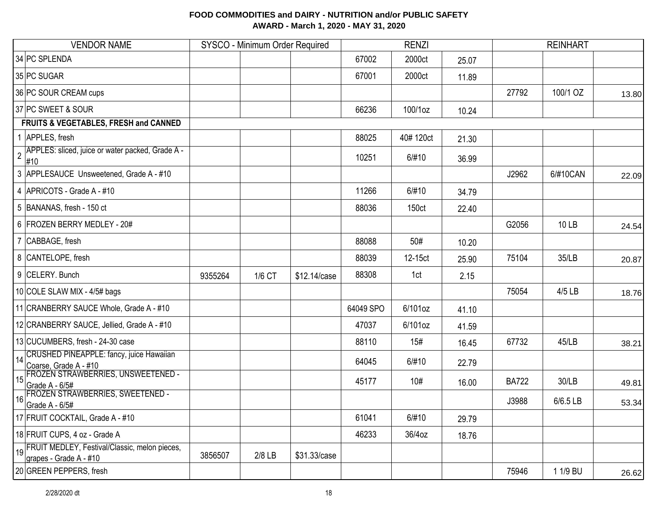| <b>VENDOR NAME</b>                                                              |         | SYSCO - Minimum Order Required |              |           | <b>RENZI</b>      |       |              | <b>REINHART</b> |       |
|---------------------------------------------------------------------------------|---------|--------------------------------|--------------|-----------|-------------------|-------|--------------|-----------------|-------|
| 34 PC SPLENDA                                                                   |         |                                |              | 67002     | 2000ct            | 25.07 |              |                 |       |
| 35 PC SUGAR                                                                     |         |                                |              | 67001     | 2000ct            | 11.89 |              |                 |       |
| 36 PC SOUR CREAM cups                                                           |         |                                |              |           |                   |       | 27792        | 100/1 OZ        | 13.80 |
| 37 PC SWEET & SOUR                                                              |         |                                |              | 66236     | 100/1oz           | 10.24 |              |                 |       |
| FRUITS & VEGETABLES, FRESH and CANNED                                           |         |                                |              |           |                   |       |              |                 |       |
| 1 APPLES, fresh                                                                 |         |                                |              | 88025     | 40#120ct          | 21.30 |              |                 |       |
| APPLES: sliced, juice or water packed, Grade A -<br>$\overline{2}$<br>#10       |         |                                |              | 10251     | 6/#10             | 36.99 |              |                 |       |
| 3 APPLESAUCE Unsweetened, Grade A - #10                                         |         |                                |              |           |                   |       | J2962        | 6/#10CAN        | 22.09 |
| 4 APRICOTS - Grade A - #10                                                      |         |                                |              | 11266     | 6/#10             | 34.79 |              |                 |       |
| 5 BANANAS, fresh - 150 ct                                                       |         |                                |              | 88036     | 150 <sub>ct</sub> | 22.40 |              |                 |       |
| 6 FROZEN BERRY MEDLEY - 20#                                                     |         |                                |              |           |                   |       | G2056        | 10 LB           | 24.54 |
| 7 CABBAGE, fresh                                                                |         |                                |              | 88088     | 50#               | 10.20 |              |                 |       |
| 8 CANTELOPE, fresh                                                              |         |                                |              | 88039     | 12-15ct           | 25.90 | 75104        | 35/LB           | 20.87 |
| 9 CELERY. Bunch                                                                 | 9355264 | 1/6 CT                         | \$12.14/case | 88308     | 1ct               | 2.15  |              |                 |       |
| 10 COLE SLAW MIX - 4/5# bags                                                    |         |                                |              |           |                   |       | 75054        | 4/5 LB          | 18.76 |
| 11 CRANBERRY SAUCE Whole, Grade A - #10                                         |         |                                |              | 64049 SPO | 6/101oz           | 41.10 |              |                 |       |
| 12 CRANBERRY SAUCE, Jellied, Grade A - #10                                      |         |                                |              | 47037     | 6/101oz           | 41.59 |              |                 |       |
| 13 CUCUMBERS, fresh - 24-30 case                                                |         |                                |              | 88110     | 15#               | 16.45 | 67732        | 45/LB           | 38.21 |
| CRUSHED PINEAPPLE: fancy, juice Hawaiian<br>$\vert$ 14<br>Coarse, Grade A - #10 |         |                                |              | 64045     | 6/#10             | 22.79 |              |                 |       |
| FROZEN STRAWBERRIES, UNSWEETENED -<br>Grade A - 6/5#                            |         |                                |              | 45177     | 10#               | 16.00 | <b>BA722</b> | 30/LB           | 49.81 |
| <b>FROZEN STRAWBERRIES, SWEETENED -</b><br>16<br>Grade A - 6/5#                 |         |                                |              |           |                   |       | J3988        | 6/6.5 LB        | 53.34 |
| 17 FRUIT COCKTAIL, Grade A - #10                                                |         |                                |              | 61041     | 6/#10             | 29.79 |              |                 |       |
| 18 FRUIT CUPS, 4 oz - Grade A                                                   |         |                                |              | 46233     | 36/4oz            | 18.76 |              |                 |       |
| 19 FRUIT MEDLEY, Festival/Classic, melon pieces,<br>grapes - Grade A - #10      | 3856507 | $2/8$ LB                       | \$31.33/case |           |                   |       |              |                 |       |
| 20 GREEN PEPPERS, fresh                                                         |         |                                |              |           |                   |       | 75946        | 1 1/9 BU        | 26.62 |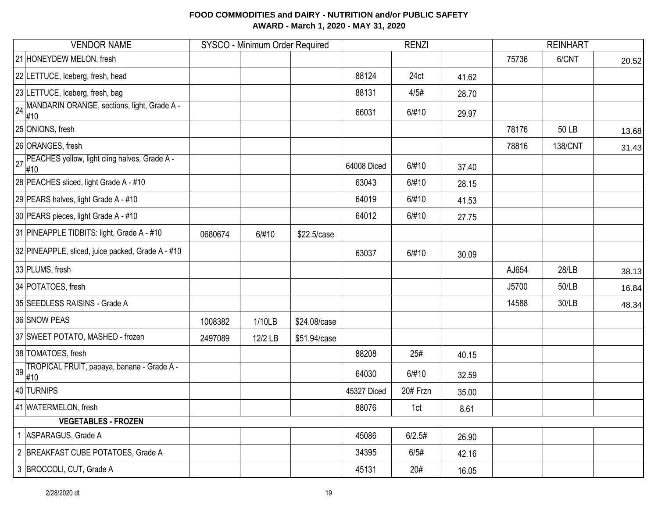| <b>VENDOR NAME</b>                                      |         | SYSCO - Minimum Order Required |              |             | <b>RENZI</b> |       | <b>REINHART</b> |                |       |
|---------------------------------------------------------|---------|--------------------------------|--------------|-------------|--------------|-------|-----------------|----------------|-------|
| 21 HONEYDEW MELON, fresh                                |         |                                |              |             |              |       | 75736           | 6/CNT          | 20.52 |
| 22 LETTUCE, Iceberg, fresh, head                        |         |                                |              | 88124       | 24ct         | 41.62 |                 |                |       |
| 23 LETTUCE, Iceberg, fresh, bag                         |         |                                |              | 88131       | 4/5#         | 28.70 |                 |                |       |
| 24 MANDARIN ORANGE, sections, light, Grade A -<br>#10   |         |                                |              | 66031       | 6/#10        | 29.97 |                 |                |       |
| 25 ONIONS, fresh                                        |         |                                |              |             |              |       | 78176           | 50 LB          | 13.68 |
| 26 ORANGES, fresh                                       |         |                                |              |             |              |       | 78816           | <b>138/CNT</b> | 31.43 |
| 27 PEACHES yellow, light cling halves, Grade A -<br>#10 |         |                                |              | 64008 Diced | 6/#10        | 37.40 |                 |                |       |
| 28 PEACHES sliced, light Grade A - #10                  |         |                                |              | 63043       | 6/#10        | 28.15 |                 |                |       |
| 29 PEARS halves, light Grade A - #10                    |         |                                |              | 64019       | 6/#10        | 41.53 |                 |                |       |
| 30 PEARS pieces, light Grade A - #10                    |         |                                |              | 64012       | 6/#10        | 27.75 |                 |                |       |
| 31 PINEAPPLE TIDBITS: light, Grade A - #10              | 0680674 | 6/#10                          | \$22.5/case  |             |              |       |                 |                |       |
| 32 PINEAPPLE, sliced, juice packed, Grade A - #10       |         |                                |              | 63037       | 6/#10        | 30.09 |                 |                |       |
| 33 PLUMS, fresh                                         |         |                                |              |             |              |       | AJ654           | 28/LB          | 38.13 |
| 34 POTATOES, fresh                                      |         |                                |              |             |              |       | J5700           | 50/LB          | 16.84 |
| 35 SEEDLESS RAISINS - Grade A                           |         |                                |              |             |              |       | 14588           | 30/LB          | 48.34 |
| 36 SNOW PEAS                                            | 1008382 | 1/10LB                         | \$24.08/case |             |              |       |                 |                |       |
| 37 SWEET POTATO, MASHED - frozen                        | 2497089 | 12/2 LB                        | \$51.94/case |             |              |       |                 |                |       |
| 38 TOMATOES, fresh                                      |         |                                |              | 88208       | 25#          | 40.15 |                 |                |       |
| TROPICAL FRUIT, papaya, banana - Grade A -<br>39<br>#10 |         |                                |              | 64030       | 6/#10        | 32.59 |                 |                |       |
| 40 TURNIPS                                              |         |                                |              | 45327 Diced | 20# Frzn     | 35.00 |                 |                |       |
| 41 WATERMELON, fresh                                    |         |                                |              | 88076       | 1ct          | 8.61  |                 |                |       |
| <b>VEGETABLES - FROZEN</b>                              |         |                                |              |             |              |       |                 |                |       |
| ASPARAGUS, Grade A                                      |         |                                |              | 45086       | 6/2.5#       | 26.90 |                 |                |       |
| 2 BREAKFAST CUBE POTATOES, Grade A                      |         |                                |              | 34395       | 6/5#         | 42.16 |                 |                |       |
| 3 BROCCOLI, CUT, Grade A                                |         |                                |              | 45131       | 20#          | 16.05 |                 |                |       |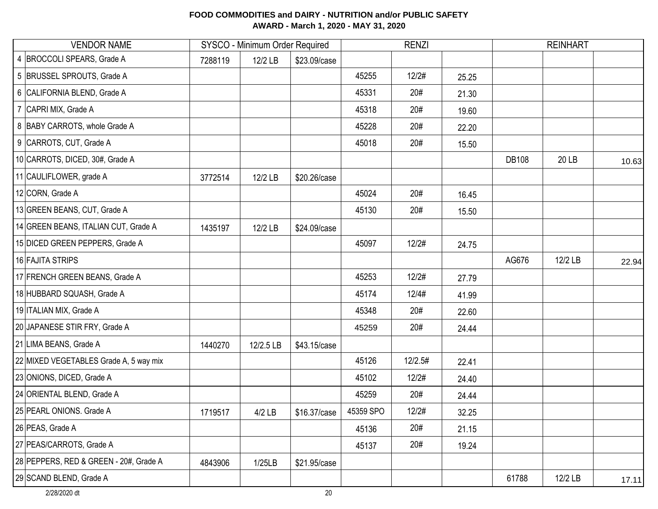| <b>VENDOR NAME</b>                     |         | SYSCO - Minimum Order Required |              |           | <b>RENZI</b> |       | <b>REINHART</b> |         |       |
|----------------------------------------|---------|--------------------------------|--------------|-----------|--------------|-------|-----------------|---------|-------|
| 4 BROCCOLI SPEARS, Grade A             | 7288119 | 12/2 LB                        | \$23.09/case |           |              |       |                 |         |       |
| 5 BRUSSEL SPROUTS, Grade A             |         |                                |              | 45255     | 12/2#        | 25.25 |                 |         |       |
| 6 CALIFORNIA BLEND, Grade A            |         |                                |              | 45331     | 20#          | 21.30 |                 |         |       |
| 7 CAPRI MIX, Grade A                   |         |                                |              | 45318     | 20#          | 19.60 |                 |         |       |
| 8 BABY CARROTS, whole Grade A          |         |                                |              | 45228     | 20#          | 22.20 |                 |         |       |
| 9 CARROTS, CUT, Grade A                |         |                                |              | 45018     | 20#          | 15.50 |                 |         |       |
| 10 CARROTS, DICED, 30#, Grade A        |         |                                |              |           |              |       | <b>DB108</b>    | 20 LB   | 10.63 |
| 11 CAULIFLOWER, grade A                | 3772514 | 12/2 LB                        | \$20.26/case |           |              |       |                 |         |       |
| 12 CORN, Grade A                       |         |                                |              | 45024     | 20#          | 16.45 |                 |         |       |
| 13 GREEN BEANS, CUT, Grade A           |         |                                |              | 45130     | 20#          | 15.50 |                 |         |       |
| 14 GREEN BEANS, ITALIAN CUT, Grade A   | 1435197 | 12/2 LB                        | \$24.09/case |           |              |       |                 |         |       |
| 15 DICED GREEN PEPPERS, Grade A        |         |                                |              | 45097     | 12/2#        | 24.75 |                 |         |       |
| 16 FAJITA STRIPS                       |         |                                |              |           |              |       | AG676           | 12/2 LB | 22.94 |
| 17 FRENCH GREEN BEANS, Grade A         |         |                                |              | 45253     | 12/2#        | 27.79 |                 |         |       |
| 18 HUBBARD SQUASH, Grade A             |         |                                |              | 45174     | 12/4#        | 41.99 |                 |         |       |
| 19 ITALIAN MIX, Grade A                |         |                                |              | 45348     | 20#          | 22.60 |                 |         |       |
| 20 JAPANESE STIR FRY, Grade A          |         |                                |              | 45259     | 20#          | 24.44 |                 |         |       |
| 21 LIMA BEANS, Grade A                 | 1440270 | 12/2.5 LB                      | \$43.15/case |           |              |       |                 |         |       |
| 22 MIXED VEGETABLES Grade A, 5 way mix |         |                                |              | 45126     | 12/2.5#      | 22.41 |                 |         |       |
| 23 ONIONS, DICED, Grade A              |         |                                |              | 45102     | 12/2#        | 24.40 |                 |         |       |
| 24 ORIENTAL BLEND, Grade A             |         |                                |              | 45259     | 20#          | 24.44 |                 |         |       |
| 25 PEARL ONIONS. Grade A               | 1719517 | 4/2 LB                         | \$16.37/case | 45359 SPO | 12/2#        | 32.25 |                 |         |       |
| 26 PEAS, Grade A                       |         |                                |              | 45136     | 20#          | 21.15 |                 |         |       |
| 27 PEAS/CARROTS, Grade A               |         |                                |              | 45137     | 20#          | 19.24 |                 |         |       |
| 28 PEPPERS, RED & GREEN - 20#, Grade A | 4843906 | 1/25LB                         | \$21.95/case |           |              |       |                 |         |       |
| 29 SCAND BLEND, Grade A                |         |                                |              |           |              |       | 61788           | 12/2 LB | 17.11 |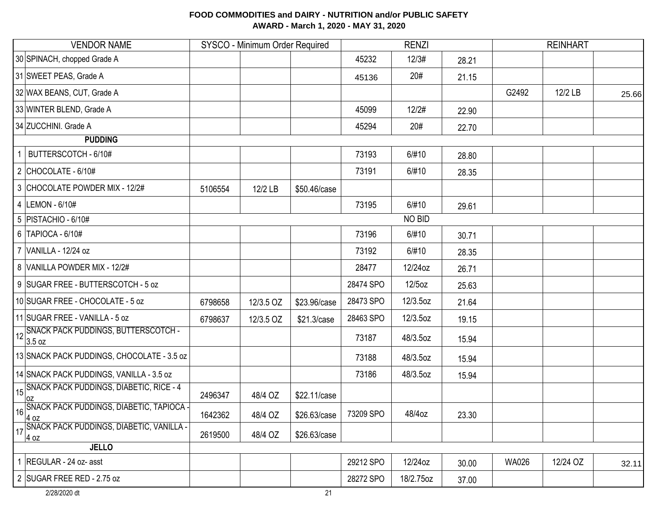| <b>VENDOR NAME</b>                                                                      | SYSCO - Minimum Order Required |           | <b>RENZI</b> |           |               | <b>REINHART</b> |              |          |       |
|-----------------------------------------------------------------------------------------|--------------------------------|-----------|--------------|-----------|---------------|-----------------|--------------|----------|-------|
| 30 SPINACH, chopped Grade A                                                             |                                |           |              | 45232     | 12/3#         | 28.21           |              |          |       |
| 31 SWEET PEAS, Grade A                                                                  |                                |           |              | 45136     | 20#           | 21.15           |              |          |       |
| 32 WAX BEANS, CUT, Grade A                                                              |                                |           |              |           |               |                 | G2492        | 12/2 LB  | 25.66 |
| 33 WINTER BLEND, Grade A                                                                |                                |           |              | 45099     | 12/2#         | 22.90           |              |          |       |
| 34 ZUCCHINI. Grade A                                                                    |                                |           |              | 45294     | 20#           | 22.70           |              |          |       |
| <b>PUDDING</b>                                                                          |                                |           |              |           |               |                 |              |          |       |
| BUTTERSCOTCH - 6/10#                                                                    |                                |           |              | 73193     | 6/#10         | 28.80           |              |          |       |
| $2$ CHOCOLATE - 6/10#                                                                   |                                |           |              | 73191     | 6/#10         | 28.35           |              |          |       |
| 3 CHOCOLATE POWDER MIX - 12/2#                                                          | 5106554                        | 12/2 LB   | \$50.46/case |           |               |                 |              |          |       |
| 4 LEMON - 6/10#                                                                         |                                |           |              | 73195     | 6/#10         | 29.61           |              |          |       |
| 5   PISTACHIO - 6/10#                                                                   |                                |           |              |           | <b>NO BID</b> |                 |              |          |       |
| $6$ TAPIOCA - $6/10#$                                                                   |                                |           |              | 73196     | 6/#10         | 30.71           |              |          |       |
| 7 VANILLA - 12/24 oz                                                                    |                                |           |              | 73192     | 6/#10         | 28.35           |              |          |       |
| 8 VANILLA POWDER MIX - 12/2#                                                            |                                |           |              | 28477     | 12/24oz       | 26.71           |              |          |       |
| 9 SUGAR FREE - BUTTERSCOTCH - 5 oz                                                      |                                |           |              | 28474 SPO | 12/5oz        | 25.63           |              |          |       |
| 10 SUGAR FREE - CHOCOLATE - 5 oz                                                        | 6798658                        | 12/3.5 OZ | \$23.96/case | 28473 SPO | 12/3.5oz      | 21.64           |              |          |       |
| 11 SUGAR FREE - VANILLA - 5 oz                                                          | 6798637                        | 12/3.5 OZ | \$21.3/case  | 28463 SPO | 12/3.5oz      | 19.15           |              |          |       |
| SNACK PACK PUDDINGS, BUTTERSCOTCH -<br>3.5 oz                                           |                                |           |              | 73187     | 48/3.5oz      | 15.94           |              |          |       |
| 13 SNACK PACK PUDDINGS, CHOCOLATE - 3.5 oz                                              |                                |           |              | 73188     | 48/3.5oz      | 15.94           |              |          |       |
| 14 SNACK PACK PUDDINGS, VANILLA - 3.5 oz                                                |                                |           |              | 73186     | 48/3.5oz      | 15.94           |              |          |       |
| 15 SNACK PACK PUDDINGS, DIABETIC, RICE - 4                                              | 2496347                        | 48/4 OZ   | \$22.11/case |           |               |                 |              |          |       |
| _loz<br>√SNACK PACK PUDDINGS, DIABETIC, TAPIOCA <del> </del><br>←<br>$16\frac{4.02}{1}$ | 1642362                        | 48/4 OZ   | \$26.63/case | 73209 SPO | 48/4oz        | 23.30           |              |          |       |
| SNACK PACK PUDDINGS, DIABETIC, VANILLA -<br>17<br>4 oz                                  | 2619500                        | 48/4 OZ   | \$26.63/case |           |               |                 |              |          |       |
| <b>JELLO</b>                                                                            |                                |           |              |           |               |                 |              |          |       |
| 1 REGULAR - 24 oz- asst                                                                 |                                |           |              | 29212 SPO | 12/24oz       | 30.00           | <b>WA026</b> | 12/24 OZ | 32.11 |
| 2 SUGAR FREE RED - 2.75 oz                                                              |                                |           |              | 28272 SPO | 18/2.75oz     | 37.00           |              |          |       |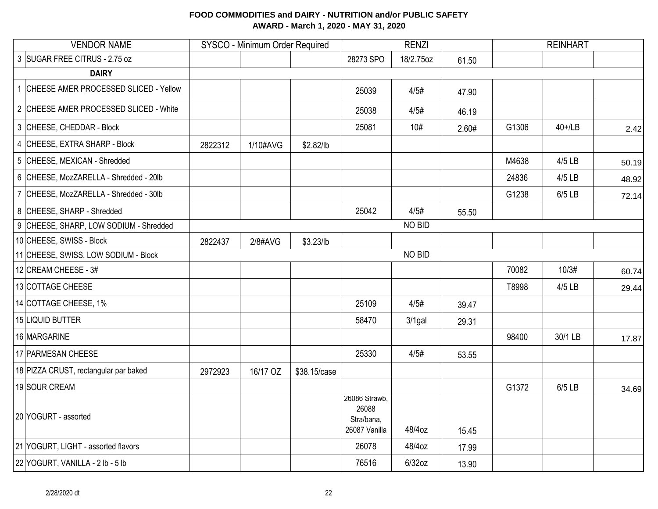| <b>VENDOR NAME</b>                      |         | SYSCO - Minimum Order Required |              |                                                       | <b>RENZI</b> |       |       |           |       |
|-----------------------------------------|---------|--------------------------------|--------------|-------------------------------------------------------|--------------|-------|-------|-----------|-------|
| 3 SUGAR FREE CITRUS - 2.75 oz           |         |                                |              | 28273 SPO                                             | 18/2.75oz    | 61.50 |       |           |       |
| <b>DAIRY</b>                            |         |                                |              |                                                       |              |       |       |           |       |
| 1 CHEESE AMER PROCESSED SLICED - Yellow |         |                                |              | 25039                                                 | 4/5#         | 47.90 |       |           |       |
| 2 CHEESE AMER PROCESSED SLICED - White  |         |                                |              | 25038                                                 | 4/5#         | 46.19 |       |           |       |
| 3 CHEESE, CHEDDAR - Block               |         |                                |              | 25081                                                 | 10#          | 2.60# | G1306 | $40+1$ LB | 2.42  |
| 4 CHEESE, EXTRA SHARP - Block           | 2822312 | 1/10#AVG                       | \$2.82/lb    |                                                       |              |       |       |           |       |
| 5 CHEESE, MEXICAN - Shredded            |         |                                |              |                                                       |              |       | M4638 | 4/5 LB    | 50.19 |
| 6 CHEESE, MozZARELLA - Shredded - 20lb  |         |                                |              |                                                       |              |       | 24836 | 4/5 LB    | 48.92 |
| 7 CHEESE, MozZARELLA - Shredded - 30lb  |         |                                |              |                                                       |              |       | G1238 | 6/5 LB    | 72.14 |
| 8 CHEESE, SHARP - Shredded              |         |                                |              | 25042                                                 | 4/5#         | 55.50 |       |           |       |
| 9 CHEESE, SHARP, LOW SODIUM - Shredded  |         |                                |              |                                                       | NO BID       |       |       |           |       |
| 10 CHEESE, SWISS - Block                | 2822437 | 2/8#AVG                        | \$3.23/lb    |                                                       |              |       |       |           |       |
| 11 CHEESE, SWISS, LOW SODIUM - Block    |         |                                |              |                                                       | NO BID       |       |       |           |       |
| 12 CREAM CHEESE - 3#                    |         |                                |              |                                                       |              |       | 70082 | 10/3#     | 60.74 |
| 13 COTTAGE CHEESE                       |         |                                |              |                                                       |              |       | T8998 | 4/5 LB    | 29.44 |
| 14 COTTAGE CHEESE, 1%                   |         |                                |              | 25109                                                 | 4/5#         | 39.47 |       |           |       |
| 15 LIQUID BUTTER                        |         |                                |              | 58470                                                 | $3/1$ gal    | 29.31 |       |           |       |
| 16 MARGARINE                            |         |                                |              |                                                       |              |       | 98400 | 30/1 LB   | 17.87 |
| 17 PARMESAN CHEESE                      |         |                                |              | 25330                                                 | 4/5#         | 53.55 |       |           |       |
| 18 PIZZA CRUST, rectangular par baked   | 2972923 | 16/17 OZ                       | \$38.15/case |                                                       |              |       |       |           |       |
| 19 SOUR CREAM                           |         |                                |              |                                                       |              |       | G1372 | 6/5 LB    | 34.69 |
| 20 YOGURT - assorted                    |         |                                |              | 26086 Strawb,<br>26088<br>Stra/bana,<br>26087 Vanilla | 48/4oz       | 15.45 |       |           |       |
| 21 YOGURT, LIGHT - assorted flavors     |         |                                |              | 26078                                                 | 48/4oz       | 17.99 |       |           |       |
| 22 YOGURT, VANILLA - 2 lb - 5 lb        |         |                                |              | 76516                                                 | $6/32$ oz    | 13.90 |       |           |       |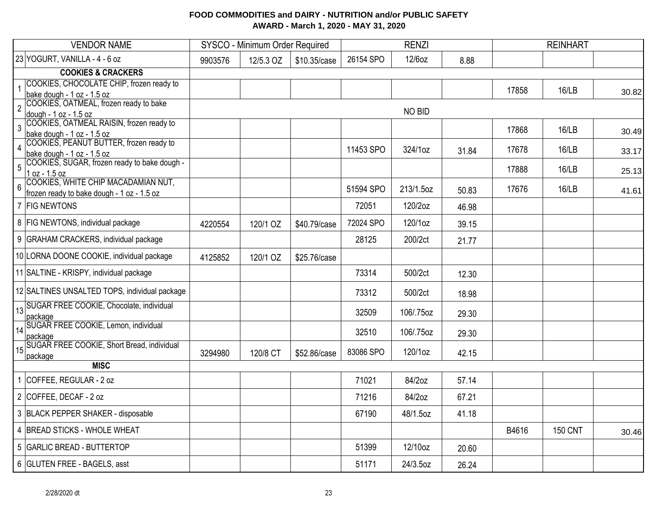| <b>VENDOR NAME</b>                                                                      |         | SYSCO - Minimum Order Required |              |           | <b>RENZI</b> |       |       | <b>REINHART</b> |       |
|-----------------------------------------------------------------------------------------|---------|--------------------------------|--------------|-----------|--------------|-------|-------|-----------------|-------|
| 23 YOGURT, VANILLA - 4 - 6 oz                                                           | 9903576 | 12/5.3 OZ                      | \$10.35/case | 26154 SPO | 12/6oz       | 8.88  |       |                 |       |
| <b>COOKIES &amp; CRACKERS</b>                                                           |         |                                |              |           |              |       |       |                 |       |
| COOKIES, CHOCOLATE CHIP, frozen ready to                                                |         |                                |              |           |              |       | 17858 | 16/LB           |       |
| bake dough - 1 oz - 1.5 oz<br>COOKIES, OATMEAL, frozen ready to bake                    |         |                                |              |           |              |       |       |                 | 30.82 |
| $\overline{2}$                                                                          |         |                                |              |           | NO BID       |       |       |                 |       |
| dough - 1 oz - 1.5 oz<br>COOKIES, OATMEAL RAISIN, frozen ready to<br>$\mathbf{3}$       |         |                                |              |           |              |       |       |                 |       |
| bake dough - 1 oz - 1.5 oz                                                              |         |                                |              |           |              |       | 17868 | 16/LB           | 30.49 |
| COOKIES, PEANUT BUTTER, frozen ready to<br>$\overline{4}$<br>bake dough - 1 oz - 1.5 oz |         |                                |              | 11453 SPO | 324/1oz      | 31.84 | 17678 | 16/LB           | 33.17 |
| COOKIES, SUGAR, frozen ready to bake dough -<br>$5\phantom{.0}$                         |         |                                |              |           |              |       |       |                 |       |
| $1 oz - 1.5 oz$                                                                         |         |                                |              |           |              |       | 17888 | 16/LB           | 25.13 |
| COOKIES, WHITE CHIP MACADAMIAN NUT,<br>$6\overline{6}$                                  |         |                                |              | 51594 SPO | 213/1.5oz    | 50.83 | 17676 | 16/LB           | 41.61 |
| frozen ready to bake dough - 1 oz - 1.5 oz                                              |         |                                |              |           |              |       |       |                 |       |
| 7 FIG NEWTONS                                                                           |         |                                |              | 72051     | 120/2oz      | 46.98 |       |                 |       |
| 8   FIG NEWTONS, individual package                                                     | 4220554 | 120/1 OZ                       | \$40.79/case | 72024 SPO | 120/1oz      | 39.15 |       |                 |       |
| 9 GRAHAM CRACKERS, individual package                                                   |         |                                |              | 28125     | 200/2ct      | 21.77 |       |                 |       |
| 10 LORNA DOONE COOKIE, individual package                                               | 4125852 | 120/1 OZ                       | \$25.76/case |           |              |       |       |                 |       |
| 11 SALTINE - KRISPY, individual package                                                 |         |                                |              | 73314     | 500/2ct      | 12.30 |       |                 |       |
| 12 SALTINES UNSALTED TOPS, individual package                                           |         |                                |              | 73312     | 500/2ct      | 18.98 |       |                 |       |
| SUGAR FREE COOKIE, Chocolate, individual<br>13                                          |         |                                |              | 32509     | 106/.75oz    | 29.30 |       |                 |       |
| package<br>SUGAR FREE COOKIE, Lemon, individual<br>14                                   |         |                                |              |           |              |       |       |                 |       |
| package                                                                                 |         |                                |              | 32510     | 106/.75oz    | 29.30 |       |                 |       |
| SUGAR FREE COOKIE, Short Bread, individual<br>15<br>package                             | 3294980 | 120/8 CT                       | \$52.86/case | 83086 SPO | 120/1oz      | 42.15 |       |                 |       |
| <b>MISC</b>                                                                             |         |                                |              |           |              |       |       |                 |       |
| COFFEE, REGULAR - 2 oz                                                                  |         |                                |              | 71021     | 84/2oz       | 57.14 |       |                 |       |
| 2 COFFEE, DECAF - 2 oz                                                                  |         |                                |              | 71216     | 84/2oz       | 67.21 |       |                 |       |
| 3 BLACK PEPPER SHAKER - disposable                                                      |         |                                |              | 67190     | 48/1.5oz     | 41.18 |       |                 |       |
| 4 BREAD STICKS - WHOLE WHEAT                                                            |         |                                |              |           |              |       | B4616 | <b>150 CNT</b>  | 30.46 |
| 5 GARLIC BREAD - BUTTERTOP                                                              |         |                                |              | 51399     | 12/10oz      | 20.60 |       |                 |       |
| 6 GLUTEN FREE - BAGELS, asst                                                            |         |                                |              | 51171     | 24/3.5oz     | 26.24 |       |                 |       |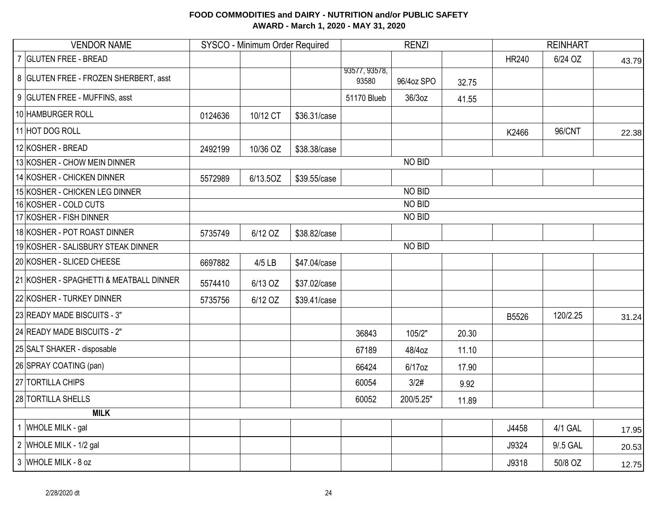| <b>VENDOR NAME</b>                      |         | SYSCO - Minimum Order Required |              |                        | <b>RENZI</b>  |       |              |          |       |
|-----------------------------------------|---------|--------------------------------|--------------|------------------------|---------------|-------|--------------|----------|-------|
| 7 GLUTEN FREE - BREAD                   |         |                                |              |                        |               |       | <b>HR240</b> | 6/24 OZ  | 43.79 |
| 8 GLUTEN FREE - FROZEN SHERBERT, asst   |         |                                |              | 93577, 93578,<br>93580 | 96/4oz SPO    | 32.75 |              |          |       |
| 9 GLUTEN FREE - MUFFINS, asst           |         |                                |              | 51170 Blueb            | 36/3oz        | 41.55 |              |          |       |
| 10 HAMBURGER ROLL                       | 0124636 | 10/12 CT                       | \$36.31/case |                        |               |       |              |          |       |
| 11 HOT DOG ROLL                         |         |                                |              |                        |               |       | K2466        | 96/CNT   | 22.38 |
| 12 KOSHER - BREAD                       | 2492199 | 10/36 OZ                       | \$38.38/case |                        |               |       |              |          |       |
| 13 KOSHER - CHOW MEIN DINNER            |         |                                |              |                        | NO BID        |       |              |          |       |
| 14 KOSHER - CHICKEN DINNER              | 5572989 | 6/13.5OZ                       | \$39.55/case |                        |               |       |              |          |       |
| 15 KOSHER - CHICKEN LEG DINNER          |         |                                |              |                        | NO BID        |       |              |          |       |
| 16 KOSHER - COLD CUTS                   |         |                                |              |                        | NO BID        |       |              |          |       |
| 17 KOSHER - FISH DINNER                 |         |                                |              |                        | NO BID        |       |              |          |       |
| 18 KOSHER - POT ROAST DINNER            | 5735749 | 6/12 OZ                        | \$38.82/case |                        |               |       |              |          |       |
| 19 KOSHER - SALISBURY STEAK DINNER      |         |                                |              |                        | <b>NO BID</b> |       |              |          |       |
| 20 KOSHER - SLICED CHEESE               | 6697882 | 4/5 LB                         | \$47.04/case |                        |               |       |              |          |       |
| 21 KOSHER - SPAGHETTI & MEATBALL DINNER | 5574410 | 6/13 OZ                        | \$37.02/case |                        |               |       |              |          |       |
| 22 KOSHER - TURKEY DINNER               | 5735756 | 6/12 OZ                        | \$39.41/case |                        |               |       |              |          |       |
| 23 READY MADE BISCUITS - 3"             |         |                                |              |                        |               |       | B5526        | 120/2.25 | 31.24 |
| 24 READY MADE BISCUITS - 2"             |         |                                |              | 36843                  | 105/2"        | 20.30 |              |          |       |
| 25 SALT SHAKER - disposable             |         |                                |              | 67189                  | 48/4oz        | 11.10 |              |          |       |
| 26 SPRAY COATING (pan)                  |         |                                |              | 66424                  | $6/17$ oz     | 17.90 |              |          |       |
| 27 TORTILLA CHIPS                       |         |                                |              | 60054                  | 3/2#          | 9.92  |              |          |       |
| 28 TORTILLA SHELLS                      |         |                                |              | 60052                  | 200/5.25"     | 11.89 |              |          |       |
| <b>MILK</b>                             |         |                                |              |                        |               |       |              |          |       |
| 1 WHOLE MILK - gal                      |         |                                |              |                        |               |       | J4458        | 4/1 GAL  | 17.95 |
| 2 WHOLE MILK - 1/2 gal                  |         |                                |              |                        |               |       | J9324        | 9/.5 GAL | 20.53 |
| 3 WHOLE MILK - 8 oz                     |         |                                |              |                        |               |       | J9318        | 50/8 OZ  | 12.75 |